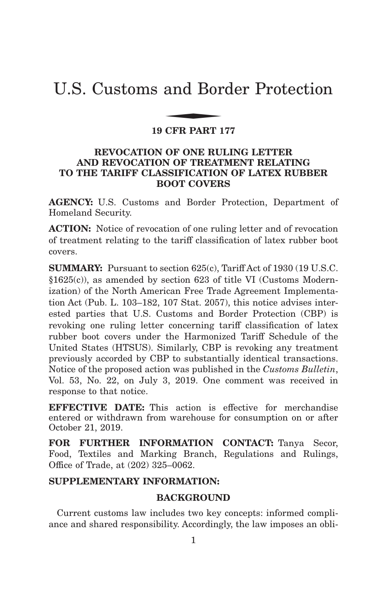# U.S. Customs and Border Protection and Bor

## **19 CFR PART 177**

## **REVOCATION OF ONE RULING LETTER AND REVOCATION OF TREATMENT RELATING TO THE TARIFF CLASSIFICATION OF LATEX RUBBER BOOT COVERS**

**AGENCY:** U.S. Customs and Border Protection, Department of Homeland Security.

**ACTION:** Notice of revocation of one ruling letter and of revocation of treatment relating to the tariff classification of latex rubber boot covers.

**SUMMARY:** Pursuant to section 625(c), Tariff Act of 1930 (19 U.S.C. §1625(c)), as amended by section 623 of title VI (Customs Modernization) of the North American Free Trade Agreement Implementation Act (Pub. L. 103–182, 107 Stat. 2057), this notice advises interested parties that U.S. Customs and Border Protection (CBP) is revoking one ruling letter concerning tariff classification of latex rubber boot covers under the Harmonized Tariff Schedule of the United States (HTSUS). Similarly, CBP is revoking any treatment previously accorded by CBP to substantially identical transactions. Notice of the proposed action was published in the *Customs Bulletin*, Vol. 53, No. 22, on July 3, 2019. One comment was received in response to that notice.

**EFFECTIVE DATE:** This action is effective for merchandise entered or withdrawn from warehouse for consumption on or after October 21, 2019.

**FOR FURTHER INFORMATION CONTACT:** Tanya Secor, Food, Textiles and Marking Branch, Regulations and Rulings, Office of Trade, at (202) 325–0062.

## **SUPPLEMENTARY INFORMATION:**

## **BACKGROUND**

Current customs law includes two key concepts: informed compliance and shared responsibility. Accordingly, the law imposes an obli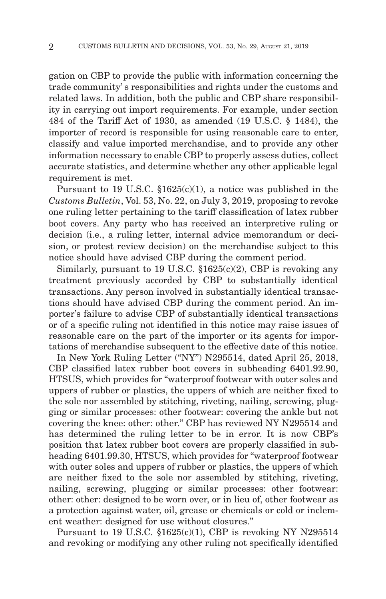gation on CBP to provide the public with information concerning the trade community' s responsibilities and rights under the customs and related laws. In addition, both the public and CBP share responsibility in carrying out import requirements. For example, under section 484 of the Tariff Act of 1930, as amended (19 U.S.C. § 1484), the importer of record is responsible for using reasonable care to enter, classify and value imported merchandise, and to provide any other information necessary to enable CBP to properly assess duties, collect accurate statistics, and determine whether any other applicable legal requirement is met.

Pursuant to 19 U.S.C. §1625(c)(1), a notice was published in the *Customs Bulletin*, Vol. 53, No. 22, on July 3, 2019, proposing to revoke one ruling letter pertaining to the tariff classification of latex rubber boot covers. Any party who has received an interpretive ruling or decision (i.e., a ruling letter, internal advice memorandum or decision, or protest review decision) on the merchandise subject to this notice should have advised CBP during the comment period.

Similarly, pursuant to 19 U.S.C.  $$1625(c)(2)$ , CBP is revoking any treatment previously accorded by CBP to substantially identical transactions. Any person involved in substantially identical transactions should have advised CBP during the comment period. An importer's failure to advise CBP of substantially identical transactions or of a specific ruling not identified in this notice may raise issues of reasonable care on the part of the importer or its agents for importations of merchandise subsequent to the effective date of this notice.

In New York Ruling Letter ("NY") N295514, dated April 25, 2018, CBP classified latex rubber boot covers in subheading 6401.92.90, HTSUS, which provides for "waterproof footwear with outer soles and uppers of rubber or plastics, the uppers of which are neither fixed to the sole nor assembled by stitching, riveting, nailing, screwing, plugging or similar processes: other footwear: covering the ankle but not covering the knee: other: other." CBP has reviewed NY N295514 and has determined the ruling letter to be in error. It is now CBP's position that latex rubber boot covers are properly classified in subheading 6401.99.30, HTSUS, which provides for "waterproof footwear with outer soles and uppers of rubber or plastics, the uppers of which are neither fixed to the sole nor assembled by stitching, riveting, nailing, screwing, plugging or similar processes: other footwear: other: other: designed to be worn over, or in lieu of, other footwear as a protection against water, oil, grease or chemicals or cold or inclement weather: designed for use without closures."

Pursuant to 19 U.S.C.  $$1625(c)(1)$ , CBP is revoking NY N295514 and revoking or modifying any other ruling not specifically identified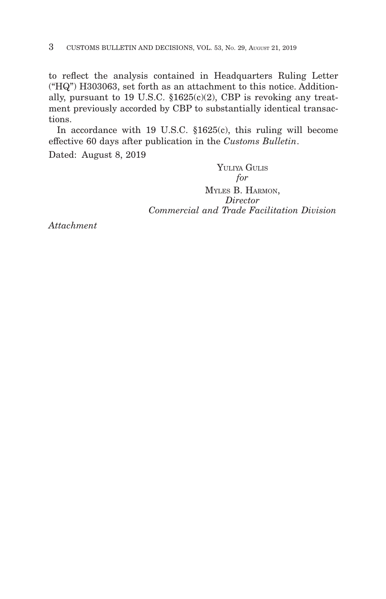to reflect the analysis contained in Headquarters Ruling Letter ("HQ") H303063, set forth as an attachment to this notice. Additionally, pursuant to 19 U.S.C. §1625(c)(2), CBP is revoking any treatment previously accorded by CBP to substantially identical transactions.

In accordance with 19 U.S.C. §1625(c), this ruling will become effective 60 days after publication in the *Customs Bulletin*.

Dated: August 8, 2019

YULIYA GULIS *for* MYLES B. HARMON, *Director Commercial and Trade Facilitation Division*

*Attachment*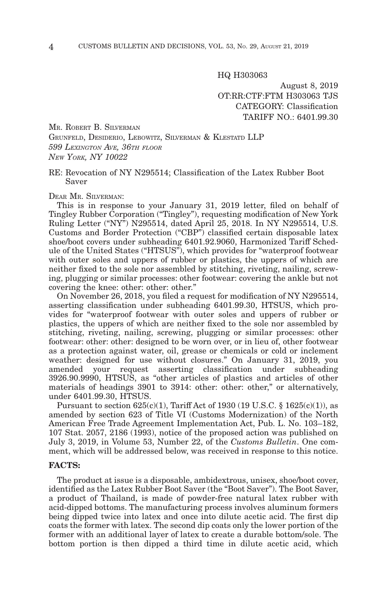HQ H303063

August 8, 2019 OT:RR:CTF:FTM H303063 TJS CATEGORY: Classification TARIFF NO.: 6401.99.30

MR. ROBERT B. SILVERMAN

GRUNFELD, DESIDERIO, LEBOWITZ, SILVERMAN & KLESTATD LLP *599 LEXINGTON AVE, 36TH FLOOR NEW YORK, NY 10022*

#### RE: Revocation of NY N295514; Classification of the Latex Rubber Boot Saver

DEAR MR. SILVERMAN:

This is in response to your January 31, 2019 letter, filed on behalf of Tingley Rubber Corporation ("Tingley"), requesting modification of New York Ruling Letter ("NY") N295514, dated April 25, 2018. In NY N295514, U.S. Customs and Border Protection ("CBP") classified certain disposable latex shoe/boot covers under subheading 6401.92.9060, Harmonized Tariff Schedule of the United States ("HTSUS"), which provides for "waterproof footwear with outer soles and uppers of rubber or plastics, the uppers of which are neither fixed to the sole nor assembled by stitching, riveting, nailing, screwing, plugging or similar processes: other footwear: covering the ankle but not covering the knee: other: other: other."

On November 26, 2018, you filed a request for modification of NY N295514, asserting classification under subheading 6401.99.30, HTSUS, which provides for "waterproof footwear with outer soles and uppers of rubber or plastics, the uppers of which are neither fixed to the sole nor assembled by stitching, riveting, nailing, screwing, plugging or similar processes: other footwear: other: other: designed to be worn over, or in lieu of, other footwear as a protection against water, oil, grease or chemicals or cold or inclement weather: designed for use without closures." On January 31, 2019, you amended your request asserting classification under subheading 3926.90.9990, HTSUS, as "other articles of plastics and articles of other materials of headings 3901 to 3914: other: other: other," or alternatively, under 6401.99.30, HTSUS.

Pursuant to section  $625(c)(1)$ , Tariff Act of 1930 (19 U.S.C. § 1625 $(c)(1)$ ), as amended by section 623 of Title VI (Customs Modernization) of the North American Free Trade Agreement Implementation Act, Pub. L. No. 103–182, 107 Stat. 2057, 2186 (1993), notice of the proposed action was published on July 3, 2019, in Volume 53, Number 22, of the *Customs Bulletin*. One comment, which will be addressed below, was received in response to this notice.

#### **FACTS:**

The product at issue is a disposable, ambidextrous, unisex, shoe/boot cover, identified as the Latex Rubber Boot Saver (the "Boot Saver"). The Boot Saver, a product of Thailand, is made of powder-free natural latex rubber with acid-dipped bottoms. The manufacturing process involves aluminum formers being dipped twice into latex and once into dilute acetic acid. The first dip coats the former with latex. The second dip coats only the lower portion of the former with an additional layer of latex to create a durable bottom/sole. The bottom portion is then dipped a third time in dilute acetic acid, which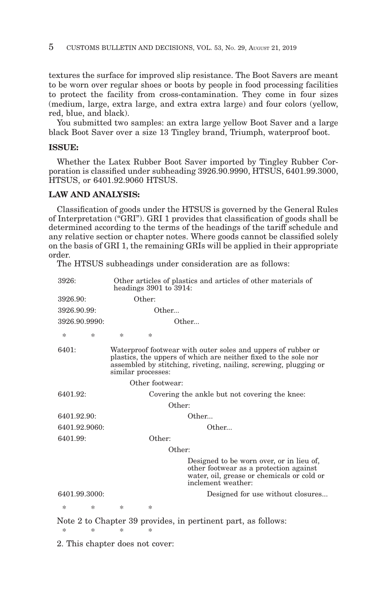textures the surface for improved slip resistance. The Boot Savers are meant to be worn over regular shoes or boots by people in food processing facilities to protect the facility from cross-contamination. They come in four sizes (medium, large, extra large, and extra extra large) and four colors (yellow, red, blue, and black).

You submitted two samples: an extra large yellow Boot Saver and a large black Boot Saver over a size 13 Tingley brand, Triumph, waterproof boot.

#### **ISSUE:**

Whether the Latex Rubber Boot Saver imported by Tingley Rubber Corporation is classified under subheading 3926.90.9990, HTSUS, 6401.99.3000, HTSUS, or 6401.92.9060 HTSUS.

#### **LAW AND ANALYSIS:**

Classification of goods under the HTSUS is governed by the General Rules of Interpretation ("GRI"). GRI 1 provides that classification of goods shall be determined according to the terms of the headings of the tariff schedule and any relative section or chapter notes. Where goods cannot be classified solely on the basis of GRI 1, the remaining GRIs will be applied in their appropriate order.

The HTSUS subheadings under consideration are as follows:

| 3926:         | headings $3901$ to $3914$ : | Other articles of plastics and articles of other materials of                                                                                                                                       |
|---------------|-----------------------------|-----------------------------------------------------------------------------------------------------------------------------------------------------------------------------------------------------|
| 3926.90:      | Other:                      |                                                                                                                                                                                                     |
| 3926.90.99:   | Other                       |                                                                                                                                                                                                     |
| 3926.90.9990: |                             | Other                                                                                                                                                                                               |
| *<br>$\ast$   | *<br>$\ast$                 |                                                                                                                                                                                                     |
| 6401:         | similar processes:          | Waterproof footwear with outer soles and uppers of rubber or<br>plastics, the uppers of which are neither fixed to the sole nor<br>assembled by stitching, riveting, nailing, screwing, plugging or |
|               | Other footwear:             |                                                                                                                                                                                                     |
| 6401.92:      |                             | Covering the ankle but not covering the knee:                                                                                                                                                       |
|               |                             | Other:                                                                                                                                                                                              |
| 6401.92.90:   |                             | Other                                                                                                                                                                                               |
| 6401.92.9060: |                             | Other                                                                                                                                                                                               |
| 6401.99:      | Other:                      |                                                                                                                                                                                                     |
|               |                             | Other:                                                                                                                                                                                              |
|               |                             | Designed to be worn over, or in lieu of,<br>other footwear as a protection against<br>water, oil, grease or chemicals or cold or<br>inclement weather:                                              |
| 6401.99.3000: |                             | Designed for use without closures                                                                                                                                                                   |
| $\ast$<br>*   | *<br>*                      |                                                                                                                                                                                                     |
| *<br>*        | *<br>*                      | Note 2 to Chapter 39 provides, in pertinent part, as follows:                                                                                                                                       |

2. This chapter does not cover: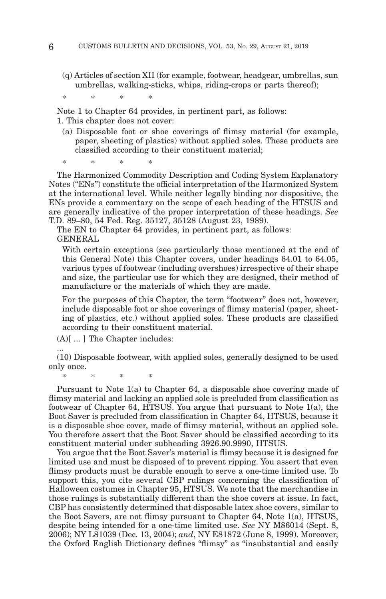(q) Articles of section XII (for example, footwear, headgear, umbrellas, sun umbrellas, walking-sticks, whips, riding-crops or parts thereof);

\*\*\* \*

Note 1 to Chapter 64 provides, in pertinent part, as follows:

1. This chapter does not cover:

(a) Disposable foot or shoe coverings of flimsy material (for example, paper, sheeting of plastics) without applied soles. These products are classified according to their constituent material;

\*\*\* \*

The Harmonized Commodity Description and Coding System Explanatory Notes ("ENs") constitute the official interpretation of the Harmonized System at the international level. While neither legally binding nor dispositive, the ENs provide a commentary on the scope of each heading of the HTSUS and are generally indicative of the proper interpretation of these headings. *See* T.D. 89–80, 54 Fed. Reg. 35127, 35128 (August 23, 1989).

The EN to Chapter 64 provides, in pertinent part, as follows: GENERAL

With certain exceptions (see particularly those mentioned at the end of this General Note) this Chapter covers, under headings 64.01 to 64.05, various types of footwear (including overshoes) irrespective of their shape and size, the particular use for which they are designed, their method of manufacture or the materials of which they are made.

For the purposes of this Chapter, the term "footwear" does not, however, include disposable foot or shoe coverings of flimsy material (paper, sheeting of plastics, etc.) without applied soles. These products are classified according to their constituent material.

(A)[ ... ] The Chapter includes:

(10) Disposable footwear, with applied soles, generally designed to be used only once.

\*\*\* \*

...

Pursuant to Note 1(a) to Chapter 64, a disposable shoe covering made of flimsy material and lacking an applied sole is precluded from classification as footwear of Chapter 64, HTSUS. You argue that pursuant to Note 1(a), the Boot Saver is precluded from classification in Chapter 64, HTSUS, because it is a disposable shoe cover, made of flimsy material, without an applied sole. You therefore assert that the Boot Saver should be classified according to its constituent material under subheading 3926.90.9990, HTSUS.

You argue that the Boot Saver's material is flimsy because it is designed for limited use and must be disposed of to prevent ripping. You assert that even flimsy products must be durable enough to serve a one-time limited use. To support this, you cite several CBP rulings concerning the classification of Halloween costumes in Chapter 95, HTSUS. We note that the merchandise in those rulings is substantially different than the shoe covers at issue. In fact, CBP has consistently determined that disposable latex shoe covers, similar to the Boot Savers, are not flimsy pursuant to Chapter 64, Note 1(a), HTSUS, despite being intended for a one-time limited use. *See* NY M86014 (Sept. 8, 2006); NY L81039 (Dec. 13, 2004); *and*, NY E81872 (June 8, 1999). Moreover, the Oxford English Dictionary defines "flimsy" as "insubstantial and easily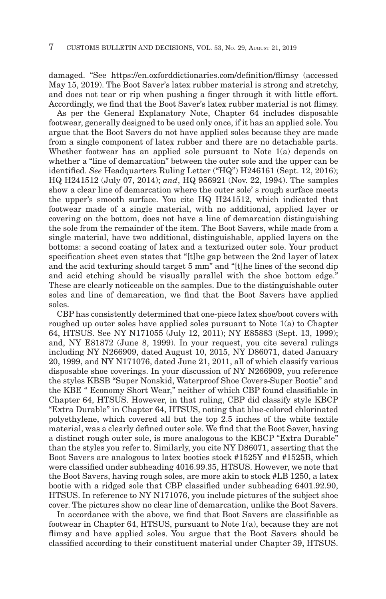damaged. "See https://en.oxforddictionaries.com/definition/flimsy (accessed May 15, 2019). The Boot Saver's latex rubber material is strong and stretchy, and does not tear or rip when pushing a finger through it with little effort. Accordingly, we find that the Boot Saver's latex rubber material is not flimsy.

As per the General Explanatory Note, Chapter 64 includes disposable footwear, generally designed to be used only once, if it has an applied sole. You argue that the Boot Savers do not have applied soles because they are made from a single component of latex rubber and there are no detachable parts. Whether footwear has an applied sole pursuant to Note 1(a) depends on whether a "line of demarcation" between the outer sole and the upper can be identified. *See* Headquarters Ruling Letter ("HQ") H246161 (Sept. 12, 2016); HQ H241512 (July 07, 2014); *and*, HQ 956921 (Nov. 22, 1994). The samples show a clear line of demarcation where the outer sole' s rough surface meets the upper's smooth surface. You cite HQ H241512, which indicated that footwear made of a single material, with no additional, applied layer or covering on the bottom, does not have a line of demarcation distinguishing the sole from the remainder of the item. The Boot Savers, while made from a single material, have two additional, distinguishable, applied layers on the bottoms: a second coating of latex and a texturized outer sole. Your product specification sheet even states that "[t]he gap between the 2nd layer of latex and the acid texturing should target 5 mm" and "[t]he lines of the second dip and acid etching should be visually parallel with the shoe bottom edge." These are clearly noticeable on the samples. Due to the distinguishable outer soles and line of demarcation, we find that the Boot Savers have applied soles.

CBP has consistently determined that one-piece latex shoe/boot covers with roughed up outer soles have applied soles pursuant to Note 1(a) to Chapter 64, HTSUS. See NY N171055 (July 12, 2011); NY E85883 (Sept. 13, 1999); and, NY E81872 (June 8, 1999). In your request, you cite several rulings including NY N266909, dated August 10, 2015, NY D86071, dated January 20, 1999, and NY N171076, dated June 21, 2011, all of which classify various disposable shoe coverings. In your discussion of NY N266909, you reference the styles KBSB "Super Nonskid, Waterproof Shoe Covers-Super Bootie" and the KBE " Economy Short Wear," neither of which CBP found classifiable in Chapter 64, HTSUS. However, in that ruling, CBP did classify style KBCP "Extra Durable" in Chapter 64, HTSUS, noting that blue-colored chlorinated polyethylene, which covered all but the top 2.5 inches of the white textile material, was a clearly defined outer sole. We find that the Boot Saver, having a distinct rough outer sole, is more analogous to the KBCP "Extra Durable" than the styles you refer to. Similarly, you cite NY D86071, asserting that the Boot Savers are analogous to latex booties stock #1525Y and #1525B, which were classified under subheading 4016.99.35, HTSUS. However, we note that the Boot Savers, having rough soles, are more akin to stock #LB 1250, a latex bootie with a ridged sole that CBP classified under subheading 6401.92.90, HTSUS. In reference to NY N171076, you include pictures of the subject shoe cover. The pictures show no clear line of demarcation, unlike the Boot Savers.

In accordance with the above, we find that Boot Savers are classifiable as footwear in Chapter 64, HTSUS, pursuant to Note 1(a), because they are not flimsy and have applied soles. You argue that the Boot Savers should be classified according to their constituent material under Chapter 39, HTSUS.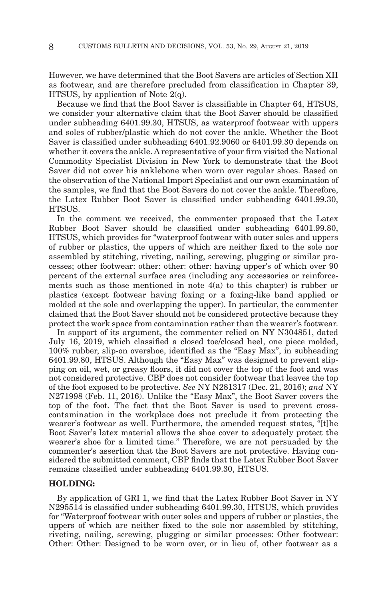However, we have determined that the Boot Savers are articles of Section XII as footwear, and are therefore precluded from classification in Chapter 39, HTSUS, by application of Note  $2(q)$ .

Because we find that the Boot Saver is classifiable in Chapter 64, HTSUS, we consider your alternative claim that the Boot Saver should be classified under subheading 6401.99.30, HTSUS, as waterproof footwear with uppers and soles of rubber/plastic which do not cover the ankle. Whether the Boot Saver is classified under subheading 6401.92.9060 or 6401.99.30 depends on whether it covers the ankle. A representative of your firm visited the National Commodity Specialist Division in New York to demonstrate that the Boot Saver did not cover his anklebone when worn over regular shoes. Based on the observation of the National Import Specialist and our own examination of the samples, we find that the Boot Savers do not cover the ankle. Therefore, the Latex Rubber Boot Saver is classified under subheading 6401.99.30, HTSUS.

In the comment we received, the commenter proposed that the Latex Rubber Boot Saver should be classified under subheading 6401.99.80, HTSUS, which provides for "waterproof footwear with outer soles and uppers of rubber or plastics, the uppers of which are neither fixed to the sole nor assembled by stitching, riveting, nailing, screwing, plugging or similar processes; other footwear: other: other: other: having upper's of which over 90 percent of the external surface area (including any accessories or reinforcements such as those mentioned in note  $4(a)$  to this chapter) is rubber or plastics (except footwear having foxing or a foxing-like band applied or molded at the sole and overlapping the upper). In particular, the commenter claimed that the Boot Saver should not be considered protective because they protect the work space from contamination rather than the wearer's footwear.

In support of its argument, the commenter relied on NY N304851, dated July 16, 2019, which classified a closed toe/closed heel, one piece molded, 100% rubber, slip-on overshoe, identified as the "Easy Max", in subheading 6401.99.80, HTSUS. Although the "Easy Max" was designed to prevent slipping on oil, wet, or greasy floors, it did not cover the top of the foot and was not considered protective. CBP does not consider footwear that leaves the top of the foot exposed to be protective. *See* NY N281317 (Dec. 21, 2016); *and* NY N271998 (Feb. 11, 2016). Unlike the "Easy Max", the Boot Saver covers the top of the foot. The fact that the Boot Saver is used to prevent crosscontamination in the workplace does not preclude it from protecting the wearer's footwear as well. Furthermore, the amended request states, "[t]he Boot Saver's latex material allows the shoe cover to adequately protect the wearer's shoe for a limited time." Therefore, we are not persuaded by the commenter's assertion that the Boot Savers are not protective. Having considered the submitted comment, CBP finds that the Latex Rubber Boot Saver remains classified under subheading 6401.99.30, HTSUS.

#### **HOLDING:**

By application of GRI 1, we find that the Latex Rubber Boot Saver in NY N295514 is classified under subheading 6401.99.30, HTSUS, which provides for "Waterproof footwear with outer soles and uppers of rubber or plastics, the uppers of which are neither fixed to the sole nor assembled by stitching, riveting, nailing, screwing, plugging or similar processes: Other footwear: Other: Other: Designed to be worn over, or in lieu of, other footwear as a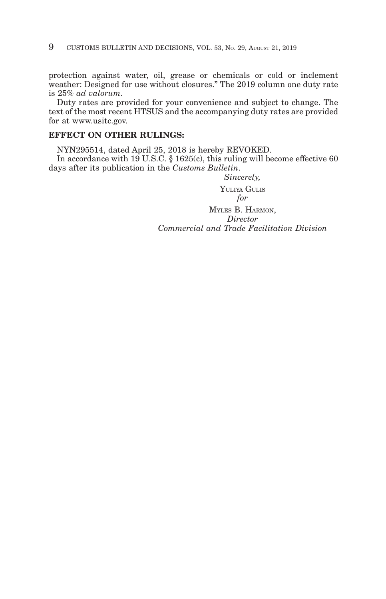protection against water, oil, grease or chemicals or cold or inclement weather: Designed for use without closures." The 2019 column one duty rate is 25% *ad valorum*.

Duty rates are provided for your convenience and subject to change. The text of the most recent HTSUS and the accompanying duty rates are provided for at www.usitc.gov.

#### **EFFECT ON OTHER RULINGS:**

NYN295514, dated April 25, 2018 is hereby REVOKED. In accordance with 19 U.S.C. § 1625(c), this ruling will become effective 60 days after its publication in the *Customs Bulletin*.

> *Sincerely,* YULIYA GULIS *for* MYLES B. HARMON, *Director Commercial and Trade Facilitation Division*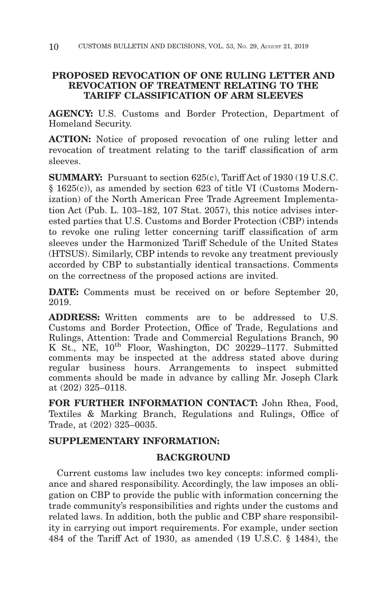# **PROPOSED REVOCATION OF ONE RULING LETTER AND REVOCATION OF TREATMENT RELATING TO THE TARIFF CLASSIFICATION OF ARM SLEEVES**

**AGENCY:** U.S. Customs and Border Protection, Department of Homeland Security.

**ACTION:** Notice of proposed revocation of one ruling letter and revocation of treatment relating to the tariff classification of arm sleeves.

**SUMMARY:** Pursuant to section 625(c), Tariff Act of 1930 (19 U.S.C. § 1625(c)), as amended by section 623 of title VI (Customs Modernization) of the North American Free Trade Agreement Implementation Act (Pub. L. 103–182, 107 Stat. 2057), this notice advises interested parties that U.S. Customs and Border Protection (CBP) intends to revoke one ruling letter concerning tariff classification of arm sleeves under the Harmonized Tariff Schedule of the United States (HTSUS). Similarly, CBP intends to revoke any treatment previously accorded by CBP to substantially identical transactions. Comments on the correctness of the proposed actions are invited.

**DATE:** Comments must be received on or before September 20, 2019.

**ADDRESS:** Written comments are to be addressed to U.S. Customs and Border Protection, Office of Trade, Regulations and Rulings, Attention: Trade and Commercial Regulations Branch, 90 K St., NE,  $10^{th}$  Floor, Washington, DC 20229-1177. Submitted comments may be inspected at the address stated above during regular business hours. Arrangements to inspect submitted comments should be made in advance by calling Mr. Joseph Clark at (202) 325–0118.

**FOR FURTHER INFORMATION CONTACT:** John Rhea, Food, Textiles & Marking Branch, Regulations and Rulings, Office of Trade, at (202) 325–0035.

# **SUPPLEMENTARY INFORMATION:**

## **BACKGROUND**

Current customs law includes two key concepts: informed compliance and shared responsibility. Accordingly, the law imposes an obligation on CBP to provide the public with information concerning the trade community's responsibilities and rights under the customs and related laws. In addition, both the public and CBP share responsibility in carrying out import requirements. For example, under section 484 of the Tariff Act of 1930, as amended (19 U.S.C. § 1484), the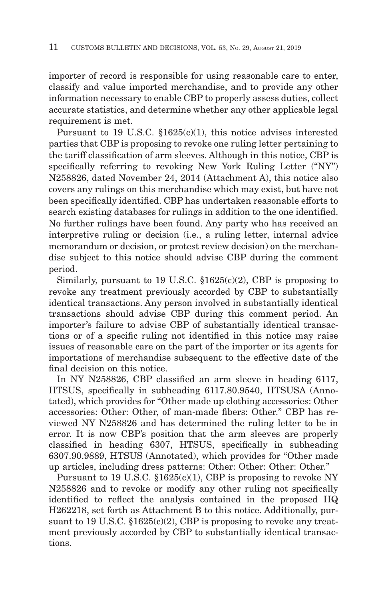importer of record is responsible for using reasonable care to enter, classify and value imported merchandise, and to provide any other information necessary to enable CBP to properly assess duties, collect accurate statistics, and determine whether any other applicable legal requirement is met.

Pursuant to 19 U.S.C. §1625(c)(1), this notice advises interested parties that CBP is proposing to revoke one ruling letter pertaining to the tariff classification of arm sleeves. Although in this notice, CBP is specifically referring to revoking New York Ruling Letter ("NY") N258826, dated November 24, 2014 (Attachment A), this notice also covers any rulings on this merchandise which may exist, but have not been specifically identified. CBP has undertaken reasonable efforts to search existing databases for rulings in addition to the one identified. No further rulings have been found. Any party who has received an interpretive ruling or decision (i.e., a ruling letter, internal advice memorandum or decision, or protest review decision) on the merchandise subject to this notice should advise CBP during the comment period.

Similarly, pursuant to 19 U.S.C.  $$1625(c)(2)$ , CBP is proposing to revoke any treatment previously accorded by CBP to substantially identical transactions. Any person involved in substantially identical transactions should advise CBP during this comment period. An importer's failure to advise CBP of substantially identical transactions or of a specific ruling not identified in this notice may raise issues of reasonable care on the part of the importer or its agents for importations of merchandise subsequent to the effective date of the final decision on this notice.

In NY N258826, CBP classified an arm sleeve in heading 6117, HTSUS, specifically in subheading 6117.80.9540, HTSUSA (Annotated), which provides for "Other made up clothing accessories: Other accessories: Other: Other, of man-made fibers: Other." CBP has reviewed NY N258826 and has determined the ruling letter to be in error. It is now CBP's position that the arm sleeves are properly classified in heading 6307, HTSUS, specifically in subheading 6307.90.9889, HTSUS (Annotated), which provides for "Other made up articles, including dress patterns: Other: Other: Other: Other."

Pursuant to 19 U.S.C.  $$1625(c)(1)$ , CBP is proposing to revoke NY N258826 and to revoke or modify any other ruling not specifically identified to reflect the analysis contained in the proposed HQ H262218, set forth as Attachment B to this notice. Additionally, pursuant to 19 U.S.C.  $$1625(c)(2)$ , CBP is proposing to revoke any treatment previously accorded by CBP to substantially identical transactions.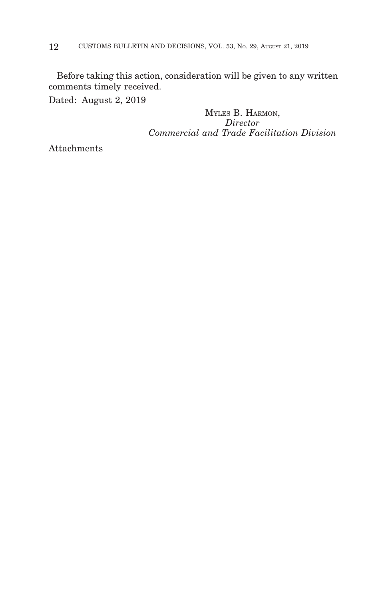Before taking this action, consideration will be given to any written comments timely received.

Dated: August 2, 2019

MYLES B. HARMON, *Director Commercial and Trade Facilitation Division*

Attachments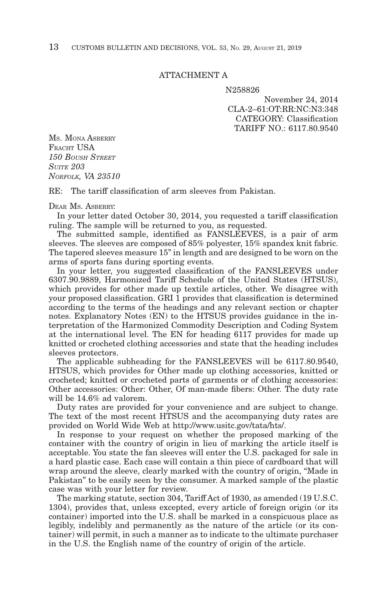#### ATTACHMENT A

N258826

November 24, 2014 CLA-2–61:OT:RR:NC:N3:348 CATEGORY: Classification TARIFF NO.: 6117.80.9540

MS. MONA ASBERRY FRACHT USA *150 BOUSH STREET SUITE 203 NORFOLK, VA 23510*

RE: The tariff classification of arm sleeves from Pakistan.

#### DEAR MS. ASBERRY:

In your letter dated October 30, 2014, you requested a tariff classification ruling. The sample will be returned to you, as requested.

The submitted sample, identified as FANSLEEVES, is a pair of arm sleeves. The sleeves are composed of 85% polyester, 15% spandex knit fabric. The tapered sleeves measure 15" in length and are designed to be worn on the arms of sports fans during sporting events.

In your letter, you suggested classification of the FANSLEEVES under 6307.90.9889, Harmonized Tariff Schedule of the United States (HTSUS), which provides for other made up textile articles, other. We disagree with your proposed classification. GRI 1 provides that classification is determined according to the terms of the headings and any relevant section or chapter notes. Explanatory Notes (EN) to the HTSUS provides guidance in the interpretation of the Harmonized Commodity Description and Coding System at the international level. The EN for heading 6117 provides for made up knitted or crocheted clothing accessories and state that the heading includes sleeves protectors.

The applicable subheading for the FANSLEEVES will be 6117.80.9540, HTSUS, which provides for Other made up clothing accessories, knitted or crocheted; knitted or crocheted parts of garments or of clothing accessories: Other accessories: Other: Other, Of man-made fibers: Other. The duty rate will be 14.6% ad valorem.

Duty rates are provided for your convenience and are subject to change. The text of the most recent HTSUS and the accompanying duty rates are provided on World Wide Web at http://www.usitc.gov/tata/hts/.

In response to your request on whether the proposed marking of the container with the country of origin in lieu of marking the article itself is acceptable. You state the fan sleeves will enter the U.S. packaged for sale in a hard plastic case. Each case will contain a thin piece of cardboard that will wrap around the sleeve, clearly marked with the country of origin, "Made in Pakistan" to be easily seen by the consumer. A marked sample of the plastic case was with your letter for review.

The marking statute, section 304, Tariff Act of 1930, as amended (19 U.S.C. 1304), provides that, unless excepted, every article of foreign origin (or its container) imported into the U.S. shall be marked in a conspicuous place as legibly, indelibly and permanently as the nature of the article (or its container) will permit, in such a manner as to indicate to the ultimate purchaser in the U.S. the English name of the country of origin of the article.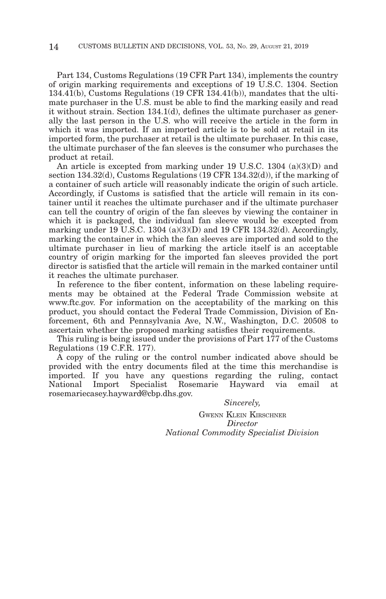Part 134, Customs Regulations (19 CFR Part 134), implements the country of origin marking requirements and exceptions of 19 U.S.C. 1304. Section 134.41(b), Customs Regulations (19 CFR 134.41(b)), mandates that the ultimate purchaser in the U.S. must be able to find the marking easily and read it without strain. Section 134.1(d), defines the ultimate purchaser as generally the last person in the U.S. who will receive the article in the form in which it was imported. If an imported article is to be sold at retail in its imported form, the purchaser at retail is the ultimate purchaser. In this case, the ultimate purchaser of the fan sleeves is the consumer who purchases the product at retail.

An article is excepted from marking under 19 U.S.C. 1304 (a)(3)(D) and section 134.32(d), Customs Regulations (19 CFR 134.32(d)), if the marking of a container of such article will reasonably indicate the origin of such article. Accordingly, if Customs is satisfied that the article will remain in its container until it reaches the ultimate purchaser and if the ultimate purchaser can tell the country of origin of the fan sleeves by viewing the container in which it is packaged, the individual fan sleeve would be excepted from marking under 19 U.S.C. 1304 (a)(3)(D) and 19 CFR 134.32(d). Accordingly, marking the container in which the fan sleeves are imported and sold to the ultimate purchaser in lieu of marking the article itself is an acceptable country of origin marking for the imported fan sleeves provided the port director is satisfied that the article will remain in the marked container until it reaches the ultimate purchaser.

In reference to the fiber content, information on these labeling requirements may be obtained at the Federal Trade Commission website at www.ftc.gov. For information on the acceptability of the marking on this product, you should contact the Federal Trade Commission, Division of Enforcement, 6th and Pennsylvania Ave, N.W., Washington, D.C. 20508 to ascertain whether the proposed marking satisfies their requirements.

This ruling is being issued under the provisions of Part 177 of the Customs Regulations (19 C.F.R. 177).

A copy of the ruling or the control number indicated above should be provided with the entry documents filed at the time this merchandise is imported. If you have any questions regarding the ruling, contact National Import Specialist Rosemarie Hayward via email at rosemariecasey.hayward@cbp.dhs.gov.

> *Sincerely,* GWENN KLEIN KIRSCHNER *Director National Commodity Specialist Division*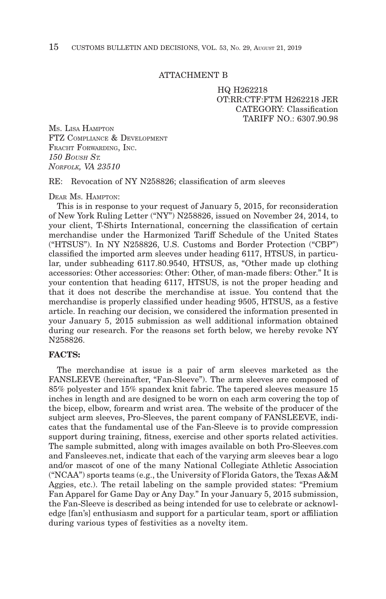#### ATTACHMENT B

HQ H262218 OT:RR:CTF:FTM H262218 JER CATEGORY: Classification TARIFF NO · 6307 90 98

MS. LISA HAMPTON FTZ COMPLIANCE & DEVELOPMENT FRACHT FORWARDING, INC. *150 BOUSH ST. NORFOLK, VA 23510*

RE: Revocation of NY N258826; classification of arm sleeves

DEAR Ms HAMPTON'

This is in response to your request of January 5, 2015, for reconsideration of New York Ruling Letter ("NY") N258826, issued on November 24, 2014, to your client, T-Shirts International, concerning the classification of certain merchandise under the Harmonized Tariff Schedule of the United States ("HTSUS"). In NY N258826, U.S. Customs and Border Protection ("CBP") classified the imported arm sleeves under heading 6117, HTSUS, in particular, under subheading 6117.80.9540, HTSUS, as, "Other made up clothing accessories: Other accessories: Other: Other, of man-made fibers: Other." It is your contention that heading 6117, HTSUS, is not the proper heading and that it does not describe the merchandise at issue. You contend that the merchandise is properly classified under heading 9505, HTSUS, as a festive article. In reaching our decision, we considered the information presented in your January 5, 2015 submission as well additional information obtained during our research. For the reasons set forth below, we hereby revoke NY N258826.

#### **FACTS:**

The merchandise at issue is a pair of arm sleeves marketed as the FANSLEEVE (hereinafter, "Fan-Sleeve"). The arm sleeves are composed of 85% polyester and 15% spandex knit fabric. The tapered sleeves measure 15 inches in length and are designed to be worn on each arm covering the top of the bicep, elbow, forearm and wrist area. The website of the producer of the subject arm sleeves, Pro-Sleeves, the parent company of FANSLEEVE, indicates that the fundamental use of the Fan-Sleeve is to provide compression support during training, fitness, exercise and other sports related activities. The sample submitted, along with images available on both Pro-Sleeves.com and Fansleeves.net, indicate that each of the varying arm sleeves bear a logo and/or mascot of one of the many National Collegiate Athletic Association ("NCAA") sports teams (e.g., the University of Florida Gators, the Texas A&M Aggies, etc.). The retail labeling on the sample provided states: "Premium Fan Apparel for Game Day or Any Day." In your January 5, 2015 submission, the Fan-Sleeve is described as being intended for use to celebrate or acknowledge [fan's] enthusiasm and support for a particular team, sport or affiliation during various types of festivities as a novelty item.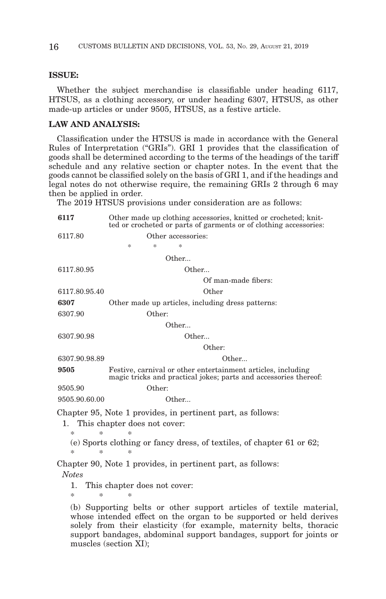#### **ISSUE:**

Whether the subject merchandise is classifiable under heading 6117, HTSUS, as a clothing accessory, or under heading 6307, HTSUS, as other made-up articles or under 9505, HTSUS, as a festive article.

### **LAW AND ANALYSIS:**

Classification under the HTSUS is made in accordance with the General Rules of Interpretation ("GRIs"). GRI 1 provides that the classification of goods shall be determined according to the terms of the headings of the tariff schedule and any relative section or chapter notes. In the event that the goods cannot be classified solely on the basis of GRI 1, and if the headings and legal notes do not otherwise require, the remaining GRIs 2 through 6 may then be applied in order.

The 2019 HTSUS provisions under consideration are as follows:

| 6117          | Other made up clothing accessories, knitted or crocheted; knit-<br>ted or crocheted or parts of garments or of clothing accessories: |
|---------------|--------------------------------------------------------------------------------------------------------------------------------------|
| 6117.80       | Other accessories:                                                                                                                   |
|               | *<br>×.<br>×.                                                                                                                        |
|               | Other                                                                                                                                |
| 6117.80.95    | Other                                                                                                                                |
|               | Of man-made fibers:                                                                                                                  |
| 6117.80.95.40 | Other                                                                                                                                |
| 6307          | Other made up articles, including dress patterns:                                                                                    |
| 6307.90       | Other:                                                                                                                               |
|               | Other                                                                                                                                |
| 6307.90.98    | Other                                                                                                                                |
|               | Other:                                                                                                                               |
| 6307.90.98.89 | Other                                                                                                                                |
| 9505          | Festive, carnival or other entertainment articles, including<br>magic tricks and practical jokes; parts and accessories thereof:     |
| 9505.90       | Other:                                                                                                                               |
| 9505.90.60.00 | Other.                                                                                                                               |
| 1.            | Chapter 95, Note 1 provides, in pertinent part, as follows:<br>This chapter does not cover:                                          |
| $\ast$<br>*   | *<br>(e) Sports clothing or fancy dress, of textiles, of chapter 61 or 62;                                                           |
| *<br>$\ast$   | $\ast$                                                                                                                               |
| <b>Notes</b>  | Chapter 90, Note 1 provides, in pertinent part, as follows:                                                                          |
| 1.<br>*<br>×  | This chapter does not cover:<br>$\ast$                                                                                               |
|               | (b) Supporting bolta or other support extigles of textile meters                                                                     |

(b) Supporting belts or other support articles of textile material, whose intended effect on the organ to be supported or held derives solely from their elasticity (for example, maternity belts, thoracic support bandages, abdominal support bandages, support for joints or muscles (section XI);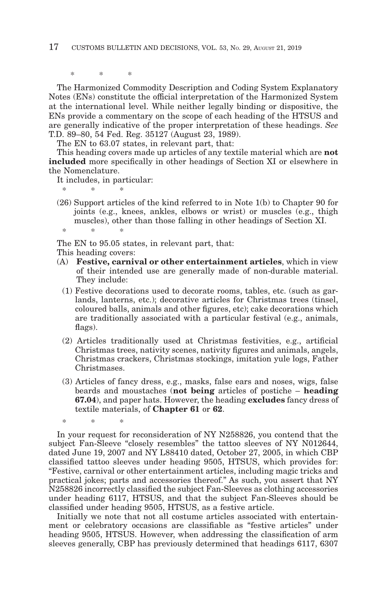\*\* \*

The Harmonized Commodity Description and Coding System Explanatory Notes (ENs) constitute the official interpretation of the Harmonized System at the international level. While neither legally binding or dispositive, the ENs provide a commentary on the scope of each heading of the HTSUS and are generally indicative of the proper interpretation of these headings. *See* T.D. 89–80, 54 Fed. Reg. 35127 (August 23, 1989).

The EN to 63.07 states, in relevant part, that:

This heading covers made up articles of any textile material which are **not included** more specifically in other headings of Section XI or elsewhere in the Nomenclature.

It includes, in particular:

- \*\* \*
- (26) Support articles of the kind referred to in Note 1(b) to Chapter 90 for joints (e.g., knees, ankles, elbows or wrist) or muscles (e.g., thigh muscles), other than those falling in other headings of Section XI. \*\* \*

The EN to 95.05 states, in relevant part, that:

This heading covers:

\*\* \*

- (A) **Festive, carnival or other entertainment articles**, which in view of their intended use are generally made of non-durable material. They include:
	- (1) Festive decorations used to decorate rooms, tables, etc. (such as garlands, lanterns, etc.); decorative articles for Christmas trees (tinsel, coloured balls, animals and other figures, etc); cake decorations which are traditionally associated with a particular festival (e.g., animals, flags).
	- (2) Articles traditionally used at Christmas festivities, e.g., artificial Christmas trees, nativity scenes, nativity figures and animals, angels, Christmas crackers, Christmas stockings, imitation yule logs, Father Christmases.
	- (3) Articles of fancy dress, e.g., masks, false ears and noses, wigs, false beards and moustaches (**not being** articles of postiche – **heading 67.04**), and paper hats. However, the heading **excludes** fancy dress of textile materials, of **Chapter 61** or **62**.

In your request for reconsideration of NY N258826, you contend that the subject Fan-Sleeve "closely resembles" the tattoo sleeves of NY N012644, dated June 19, 2007 and NY L88410 dated, October 27, 2005, in which CBP classified tattoo sleeves under heading 9505, HTSUS, which provides for: "Festive, carnival or other entertainment articles, including magic tricks and practical jokes; parts and accessories thereof." As such, you assert that NY N258826 incorrectly classified the subject Fan-Sleeves as clothing accessories under heading 6117, HTSUS, and that the subject Fan-Sleeves should be classified under heading 9505, HTSUS, as a festive article.

Initially we note that not all costume articles associated with entertainment or celebratory occasions are classifiable as "festive articles" under heading 9505, HTSUS. However, when addressing the classification of arm sleeves generally, CBP has previously determined that headings 6117, 6307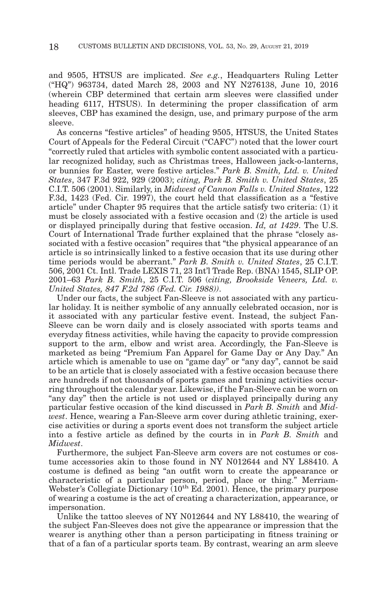and 9505, HTSUS are implicated. *See e.g.*, Headquarters Ruling Letter ("HQ") 963734, dated March 28, 2003 and NY N276138, June 10, 2016 (wherein CBP determined that certain arm sleeves were classified under heading 6117, HTSUS). In determining the proper classification of arm sleeves, CBP has examined the design, use, and primary purpose of the arm sleeve.

As concerns "festive articles" of heading 9505, HTSUS, the United States Court of Appeals for the Federal Circuit ("CAFC") noted that the lower court "correctly ruled that articles with symbolic content associated with a particular recognized holiday, such as Christmas trees, Halloween jack-o-lanterns, or bunnies for Easter, were festive articles." *Park B. Smith, Ltd. v. United States*, 347 F.3d 922, 929 (2003); *citing, Park B. Smith v. United States*, 25 C.I.T. 506 (2001). Similarly, in *Midwest of Cannon Falls v. United States*, 122 F.3d, 1423 (Fed. Cir. 1997), the court held that classification as a "festive article" under Chapter 95 requires that the article satisfy two criteria: (1) it must be closely associated with a festive occasion and (2) the article is used or displayed principally during that festive occasion. *Id, at 1429*. The U.S. Court of International Trade further explained that the phrase "closely associated with a festive occasion" requires that "the physical appearance of an article is so intrinsically linked to a festive occasion that its use during other time periods would be aberrant." *Park B. Smith v. United States*, 25 C.I.T. 506, 2001 Ct. Intl. Trade LEXIS 71, 23 Int'l Trade Rep. (BNA) 1545, SLIP OP. 2001–63 *Park B. Smith*, 25 C.I.T. 506 (*citing, Brookside Veneers, Ltd. v. United States, 847 F.2d 786 (Fed. Cir. 1988))*.

Under our facts, the subject Fan-Sleeve is not associated with any particular holiday. It is neither symbolic of any annually celebrated occasion, nor is it associated with any particular festive event. Instead, the subject Fan-Sleeve can be worn daily and is closely associated with sports teams and everyday fitness activities, while having the capacity to provide compression support to the arm, elbow and wrist area. Accordingly, the Fan-Sleeve is marketed as being "Premium Fan Apparel for Game Day or Any Day." An article which is amenable to use on "game day" or "any day", cannot be said to be an article that is closely associated with a festive occasion because there are hundreds if not thousands of sports games and training activities occurring throughout the calendar year. Likewise, if the Fan-Sleeve can be worn on "any day" then the article is not used or displayed principally during any particular festive occasion of the kind discussed in *Park B. Smith* and *Midwest*. Hence, wearing a Fan-Sleeve arm cover during athletic training, exercise activities or during a sports event does not transform the subject article into a festive article as defined by the courts in in *Park B. Smith* and *Midwest*.

Furthermore, the subject Fan-Sleeve arm covers are not costumes or costume accessories akin to those found in NY N012644 and NY L88410. A costume is defined as being "an outfit worn to create the appearance or characteristic of a particular person, period, place or thing." Merriam-Webster's Collegiate Dictionary  $(10^{th}$  Ed. 2001). Hence, the primary purpose of wearing a costume is the act of creating a characterization, appearance, or impersonation.

Unlike the tattoo sleeves of NY N012644 and NY L88410, the wearing of the subject Fan-Sleeves does not give the appearance or impression that the wearer is anything other than a person participating in fitness training or that of a fan of a particular sports team. By contrast, wearing an arm sleeve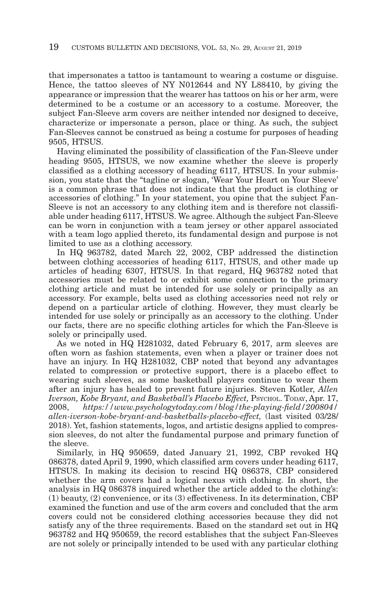that impersonates a tattoo is tantamount to wearing a costume or disguise. Hence, the tattoo sleeves of NY N012644 and NY L88410, by giving the appearance or impression that the wearer has tattoos on his or her arm, were determined to be a costume or an accessory to a costume. Moreover, the subject Fan-Sleeve arm covers are neither intended nor designed to deceive, characterize or impersonate a person, place or thing. As such, the subject Fan-Sleeves cannot be construed as being a costume for purposes of heading 9505, HTSUS.

Having eliminated the possibility of classification of the Fan-Sleeve under heading 9505, HTSUS, we now examine whether the sleeve is properly classified as a clothing accessory of heading 6117, HTSUS. In your submission, you state that the "tagline or slogan, 'Wear Your Heart on Your Sleeve' is a common phrase that does not indicate that the product is clothing or accessories of clothing." In your statement, you opine that the subject Fan-Sleeve is not an accessory to any clothing item and is therefore not classifiable under heading 6117, HTSUS. We agree. Although the subject Fan-Sleeve can be worn in conjunction with a team jersey or other apparel associated with a team logo applied thereto, its fundamental design and purpose is not limited to use as a clothing accessory.

In HQ 963782, dated March 22, 2002, CBP addressed the distinction between clothing accessories of heading 6117, HTSUS, and other made up articles of heading 6307, HTSUS. In that regard, HQ 963782 noted that accessories must be related to or exhibit some connection to the primary clothing article and must be intended for use solely or principally as an accessory. For example, belts used as clothing accessories need not rely or depend on a particular article of clothing. However, they must clearly be intended for use solely or principally as an accessory to the clothing. Under our facts, there are no specific clothing articles for which the Fan-Sleeve is solely or principally used.

As we noted in HQ H281032, dated February 6, 2017, arm sleeves are often worn as fashion statements, even when a player or trainer does not have an injury. In HQ H281032, CBP noted that beyond any advantages related to compression or protective support, there is a placebo effect to wearing such sleeves, as some basketball players continue to wear them after an injury has healed to prevent future injuries. Steven Kotler, *Allen Iverson, Kobe Bryant, and Basketball's Placebo Effect,* PSYCHOL. TODAY, Apr. 17, 2008, *https://www.psychologytoday.com/blog/the-playing-field/200804/ allen-iverson-kobe-bryant-and-basketballs-placebo-effect,* (last visited 03/28/ 2018). Yet, fashion statements, logos, and artistic designs applied to compression sleeves, do not alter the fundamental purpose and primary function of the sleeve.

Similarly, in HQ 950659, dated January 21, 1992, CBP revoked HQ 086378, dated April 9, 1990, which classified arm covers under heading 6117, HTSUS. In making its decision to rescind HQ 086378, CBP considered whether the arm covers had a logical nexus with clothing. In short, the analysis in HQ 086378 inquired whether the article added to the clothing's: (1) beauty, (2) convenience, or its (3) effectiveness. In its determination, CBP examined the function and use of the arm covers and concluded that the arm covers could not be considered clothing accessories because they did not satisfy any of the three requirements. Based on the standard set out in HQ 963782 and HQ 950659, the record establishes that the subject Fan-Sleeves are not solely or principally intended to be used with any particular clothing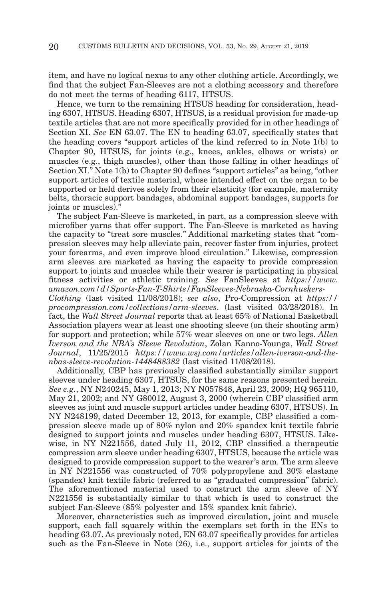item, and have no logical nexus to any other clothing article. Accordingly, we find that the subject Fan-Sleeves are not a clothing accessory and therefore do not meet the terms of heading 6117, HTSUS.

Hence, we turn to the remaining HTSUS heading for consideration, heading 6307, HTSUS. Heading 6307, HTSUS, is a residual provision for made-up textile articles that are not more specifically provided for in other headings of Section XI. *See* EN 63.07. The EN to heading 63.07, specifically states that the heading covers "support articles of the kind referred to in Note 1(b) to Chapter 90, HTSUS, for joints (e.g., knees, ankles, elbows or wrists) or muscles (e.g., thigh muscles), other than those falling in other headings of Section XI." Note 1(b) to Chapter 90 defines "support articles" as being, "other support articles of textile material, whose intended effect on the organ to be supported or held derives solely from their elasticity (for example, maternity belts, thoracic support bandages, abdominal support bandages, supports for joints or muscles)."

The subject Fan-Sleeve is marketed, in part, as a compression sleeve with microfiber yarns that offer support. The Fan-Sleeve is marketed as having the capacity to "treat sore muscles." Additional marketing states that "compression sleeves may help alleviate pain, recover faster from injuries, protect your forearms, and even improve blood circulation." Likewise, compression arm sleeves are marketed as having the capacity to provide compression support to joints and muscles while their wearer is participating in physical fitness activities or athletic training. *See* FanSleeves at *https://www. amazon.com/d/Sports-Fan-T-Shirts/FanSleeves-Nebraska-Cornhuskers-*

*Clothing* (last visited 11/08/2018); *see also*, Pro-Compression at *https:// procompression.com/collections/arm-sleeves*. (last visited 03/28/2018). In fact, the *Wall Street Journal* reports that at least 65% of National Basketball Association players wear at least one shooting sleeve (on their shooting arm) for support and protection; while 57% wear sleeves on one or two legs. *Allen Iverson and the NBA's Sleeve Revolution*, Zolan Kanno-Younga, *Wall Street Journal*, 11/25/2015 *https://www.wsj.com/articles/allen-iverson-and-thenbas-sleeve-revolution-1448488382* (last visited 11/08/2018).

Additionally, CBP has previously classified substantially similar support sleeves under heading 6307, HTSUS, for the same reasons presented herein. *See e.g.*, NY N240245, May 1, 2013; NY N057848, April 23, 2009; HQ 965110, May 21, 2002; and NY G80012, August 3, 2000 (wherein CBP classified arm sleeves as joint and muscle support articles under heading 6307, HTSUS). In NY N248199, dated December 12, 2013, for example, CBP classified a compression sleeve made up of 80% nylon and 20% spandex knit textile fabric designed to support joints and muscles under heading 6307, HTSUS. Likewise, in NY N221556, dated July 11, 2012, CBP classified a therapeutic compression arm sleeve under heading 6307, HTSUS, because the article was designed to provide compression support to the wearer's arm. The arm sleeve in NY N221556 was constructed of 70% polypropylene and 30% elastane (spandex) knit textile fabric (referred to as "graduated compression" fabric). The aforementioned material used to construct the arm sleeve of NY N221556 is substantially similar to that which is used to construct the subject Fan-Sleeve (85% polyester and 15% spandex knit fabric).

Moreover, characteristics such as improved circulation, joint and muscle support, each fall squarely within the exemplars set forth in the ENs to heading 63.07. As previously noted, EN 63.07 specifically provides for articles such as the Fan-Sleeve in Note (26), i.e., support articles for joints of the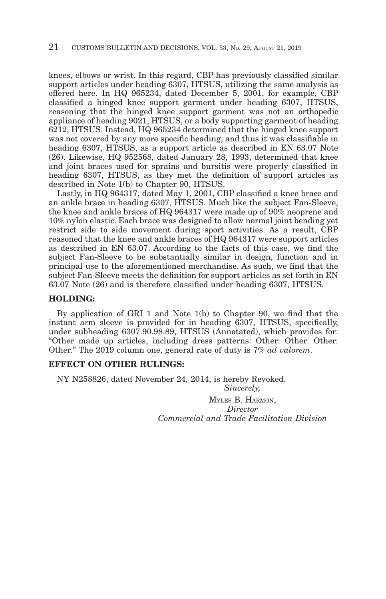knees, elbows or wrist. In this regard, CBP has previously classified similar support articles under heading 6307, HTSUS, utilizing the same analysis as offered here. In HQ 965234, dated December 5, 2001, for example, CBP classified a hinged knee support garment under heading 6307, HTSUS, reasoning that the hinged knee support garment was not an orthopedic appliance of heading 9021, HTSUS, or a body supporting garment of heading 6212, HTSUS. Instead, HQ 965234 determined that the hinged knee support was not covered by any more specific heading, and thus it was classifiable in heading 6307, HTSUS, as a support article as described in EN 63.07 Note (26). Likewise, HQ 952568, dated January 28, 1993, determined that knee and joint braces used for sprains and bursitis were properly classified in heading 6307, HTSUS, as they met the definition of support articles as described in Note 1(b) to Chapter 90, HTSUS.

Lastly, in HQ 964317, dated May 1, 2001, CBP classified a knee brace and an ankle brace in heading 6307, HTSUS. Much like the subject Fan-Sleeve, the knee and ankle braces of HQ 964317 were made up of 90% neoprene and 10% nylon elastic. Each brace was designed to allow normal joint bending yet restrict side to side movement during sport activities. As a result, CBP reasoned that the knee and ankle braces of HQ 964317 were support articles as described in EN 63.07. According to the facts of this case, we find the subject Fan-Sleeve to be substantially similar in design, function and in principal use to the aforementioned merchandise. As such, we find that the subject Fan-Sleeve meets the definition for support articles as set forth in EN 63.07 Note (26) and is therefore classified under heading 6307, HTSUS.

#### **HOLDING:**

By application of GRI 1 and Note 1(b) to Chapter 90, we find that the instant arm sleeve is provided for in heading 6307, HTSUS, specifically, under subheading 6307.90.98.89, HTSUS (Annotated), which provides for: "Other made up articles, including dress patterns: Other: Other: Other: Other." The 2019 column one, general rate of duty is 7% *ad valorem*.

#### **EFFECT ON OTHER RULINGS:**

NY N258826, dated November 24, 2014, is hereby Revoked. *Sincerely,*

> MYLES B. HARMON, *Director Commercial and Trade Facilitation Division*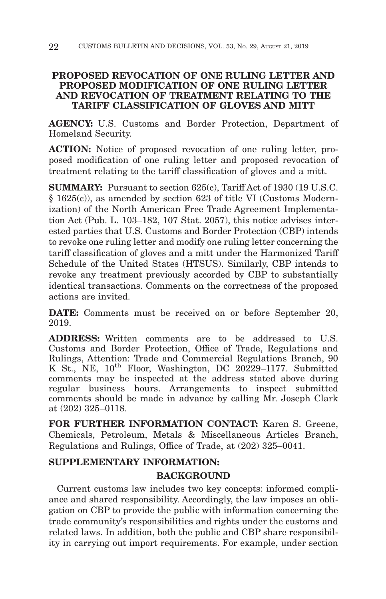## **PROPOSED REVOCATION OF ONE RULING LETTER AND PROPOSED MODIFICATION OF ONE RULING LETTER AND REVOCATION OF TREATMENT RELATING TO THE TARIFF CLASSIFICATION OF GLOVES AND MITT**

**AGENCY:** U.S. Customs and Border Protection, Department of Homeland Security.

**ACTION:** Notice of proposed revocation of one ruling letter, proposed modification of one ruling letter and proposed revocation of treatment relating to the tariff classification of gloves and a mitt.

**SUMMARY:** Pursuant to section 625(c), Tariff Act of 1930 (19 U.S.C. § 1625(c)), as amended by section 623 of title VI (Customs Modernization) of the North American Free Trade Agreement Implementation Act (Pub. L. 103–182, 107 Stat. 2057), this notice advises interested parties that U.S. Customs and Border Protection (CBP) intends to revoke one ruling letter and modify one ruling letter concerning the tariff classification of gloves and a mitt under the Harmonized Tariff Schedule of the United States (HTSUS). Similarly, CBP intends to revoke any treatment previously accorded by CBP to substantially identical transactions. Comments on the correctness of the proposed actions are invited.

**DATE:** Comments must be received on or before September 20, 2019.

**ADDRESS:** Written comments are to be addressed to U.S. Customs and Border Protection, Office of Trade, Regulations and Rulings, Attention: Trade and Commercial Regulations Branch, 90 K St., NE,  $10^{th}$  Floor, Washington, DC 20229-1177. Submitted comments may be inspected at the address stated above during regular business hours. Arrangements to inspect submitted comments should be made in advance by calling Mr. Joseph Clark at (202) 325–0118.

**FOR FURTHER INFORMATION CONTACT:** Karen S. Greene, Chemicals, Petroleum, Metals & Miscellaneous Articles Branch, Regulations and Rulings, Office of Trade, at (202) 325–0041.

# **SUPPLEMENTARY INFORMATION: BACKGROUND**

Current customs law includes two key concepts: informed compliance and shared responsibility. Accordingly, the law imposes an obligation on CBP to provide the public with information concerning the trade community's responsibilities and rights under the customs and related laws. In addition, both the public and CBP share responsibility in carrying out import requirements. For example, under section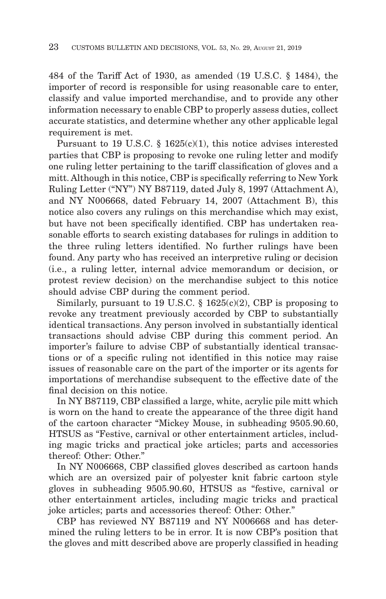484 of the Tariff Act of 1930, as amended (19 U.S.C. § 1484), the importer of record is responsible for using reasonable care to enter, classify and value imported merchandise, and to provide any other information necessary to enable CBP to properly assess duties, collect accurate statistics, and determine whether any other applicable legal requirement is met.

Pursuant to 19 U.S.C. § 1625(c)(1), this notice advises interested parties that CBP is proposing to revoke one ruling letter and modify one ruling letter pertaining to the tariff classification of gloves and a mitt. Although in this notice, CBP is specifically referring to New York Ruling Letter ("NY") NY B87119, dated July 8, 1997 (Attachment A), and NY N006668, dated February 14, 2007 (Attachment B), this notice also covers any rulings on this merchandise which may exist, but have not been specifically identified. CBP has undertaken reasonable efforts to search existing databases for rulings in addition to the three ruling letters identified. No further rulings have been found. Any party who has received an interpretive ruling or decision (i.e., a ruling letter, internal advice memorandum or decision, or protest review decision) on the merchandise subject to this notice should advise CBP during the comment period.

Similarly, pursuant to 19 U.S.C.  $\S$  1625(c)(2), CBP is proposing to revoke any treatment previously accorded by CBP to substantially identical transactions. Any person involved in substantially identical transactions should advise CBP during this comment period. An importer's failure to advise CBP of substantially identical transactions or of a specific ruling not identified in this notice may raise issues of reasonable care on the part of the importer or its agents for importations of merchandise subsequent to the effective date of the final decision on this notice.

In NY B87119, CBP classified a large, white, acrylic pile mitt which is worn on the hand to create the appearance of the three digit hand of the cartoon character "Mickey Mouse, in subheading 9505.90.60, HTSUS as "Festive, carnival or other entertainment articles, including magic tricks and practical joke articles; parts and accessories thereof: Other: Other."

In NY N006668, CBP classified gloves described as cartoon hands which are an oversized pair of polyester knit fabric cartoon style gloves in subheading 9505.90.60, HTSUS as "festive, carnival or other entertainment articles, including magic tricks and practical joke articles; parts and accessories thereof: Other: Other."

CBP has reviewed NY B87119 and NY N006668 and has determined the ruling letters to be in error. It is now CBP's position that the gloves and mitt described above are properly classified in heading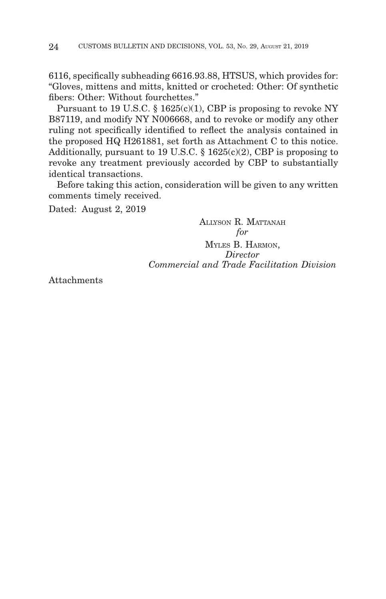6116, specifically subheading 6616.93.88, HTSUS, which provides for: "Gloves, mittens and mitts, knitted or crocheted: Other: Of synthetic fibers: Other: Without fourchettes."

Pursuant to 19 U.S.C. § 1625(c)(1), CBP is proposing to revoke NY B87119, and modify NY N006668, and to revoke or modify any other ruling not specifically identified to reflect the analysis contained in the proposed HQ H261881, set forth as Attachment C to this notice. Additionally, pursuant to 19 U.S.C. § 1625(c)(2), CBP is proposing to revoke any treatment previously accorded by CBP to substantially identical transactions.

Before taking this action, consideration will be given to any written comments timely received.

Dated: August 2, 2019

ALLYSON R. MATTANAH *for* MYLES B. HARMON, *Director Commercial and Trade Facilitation Division*

Attachments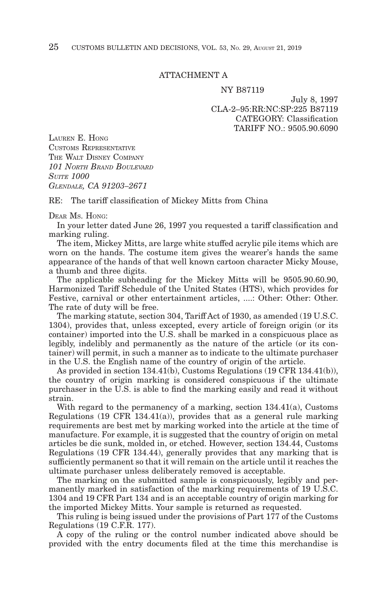#### ATTACHMENT A

#### NY B87119

July 8, 1997 CLA-2–95:RR:NC:SP:225 B87119 CATEGORY: Classification TARIFF NO.: 9505.90.6090

LAUREN E. HONG CUSTOMS REPRESENTATIVE THE WALT DISNEY COMPANY *101 NORTH BRAND BOULEVARD SUITE 1000 GLENDALE, CA 91203–2671*

RE: The tariff classification of Mickey Mitts from China

#### DEAR MS. HONG:

In your letter dated June 26, 1997 you requested a tariff classification and marking ruling.

The item, Mickey Mitts, are large white stuffed acrylic pile items which are worn on the hands. The costume item gives the wearer's hands the same appearance of the hands of that well known cartoon character Micky Mouse, a thumb and three digits.

The applicable subheading for the Mickey Mitts will be 9505.90.60.90, Harmonized Tariff Schedule of the United States (HTS), which provides for Festive, carnival or other entertainment articles, ....: Other: Other: Other. The rate of duty will be free.

The marking statute, section 304, Tariff Act of 1930, as amended (19 U.S.C. 1304), provides that, unless excepted, every article of foreign origin (or its container) imported into the U.S. shall be marked in a conspicuous place as legibly, indelibly and permanently as the nature of the article (or its container) will permit, in such a manner as to indicate to the ultimate purchaser in the U.S. the English name of the country of origin of the article.

As provided in section 134.41(b), Customs Regulations (19 CFR 134.41(b)), the country of origin marking is considered conspicuous if the ultimate purchaser in the U.S. is able to find the marking easily and read it without strain.

With regard to the permanency of a marking, section 134.41(a), Customs Regulations (19 CFR 134.41(a)), provides that as a general rule marking requirements are best met by marking worked into the article at the time of manufacture. For example, it is suggested that the country of origin on metal articles be die sunk, molded in, or etched. However, section 134.44, Customs Regulations (19 CFR 134.44), generally provides that any marking that is sufficiently permanent so that it will remain on the article until it reaches the ultimate purchaser unless deliberately removed is acceptable.

The marking on the submitted sample is conspicuously, legibly and permanently marked in satisfaction of the marking requirements of 19 U.S.C. 1304 and 19 CFR Part 134 and is an acceptable country of origin marking for the imported Mickey Mitts. Your sample is returned as requested.

This ruling is being issued under the provisions of Part 177 of the Customs Regulations (19 C.F.R. 177).

A copy of the ruling or the control number indicated above should be provided with the entry documents filed at the time this merchandise is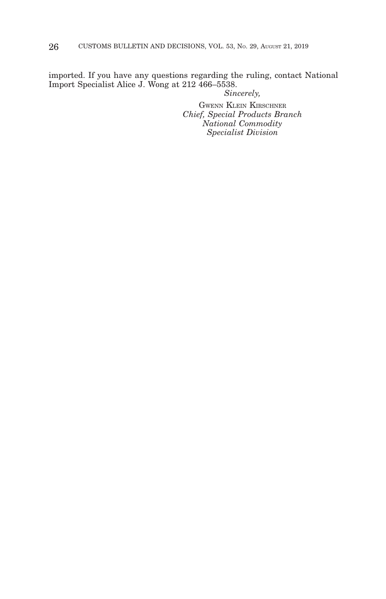imported. If you have any questions regarding the ruling, contact National Import Specialist Alice J. Wong at 212 466–5538. *Sincerely,*

GWENN KLEIN KIRSCHNER *Chief, Special Products Branch National Commodity Specialist Division*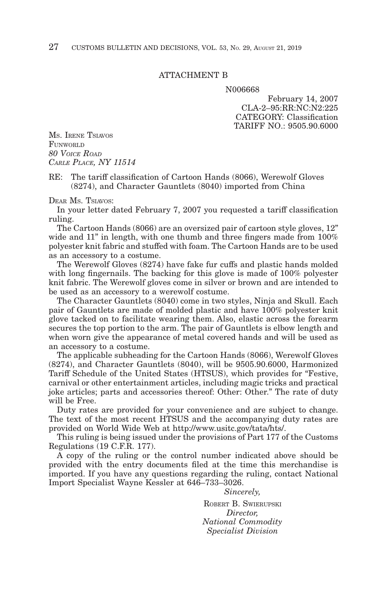#### ATTACHMENT B

N006668

February 14, 2007 CLA-2–95:RR:NC:N2:225 CATEGORY: Classification TARIFF NO.: 9505.90.6000

MS. IRENE TSIAVOS FUNWORLD *80 VOICE ROAD CARLE PLACE, NY 11514*

RE: The tariff classification of Cartoon Hands (8066), Werewolf Gloves (8274), and Character Gauntlets (8040) imported from China

DEAR MS. TSIAVOS:

In your letter dated February 7, 2007 you requested a tariff classification ruling.

The Cartoon Hands (8066) are an oversized pair of cartoon style gloves, 12" wide and 11" in length, with one thumb and three fingers made from 100% polyester knit fabric and stuffed with foam. The Cartoon Hands are to be used as an accessory to a costume.

The Werewolf Gloves (8274) have fake fur cuffs and plastic hands molded with long fingernails. The backing for this glove is made of 100% polyester knit fabric. The Werewolf gloves come in silver or brown and are intended to be used as an accessory to a werewolf costume.

The Character Gauntlets (8040) come in two styles, Ninja and Skull. Each pair of Gauntlets are made of molded plastic and have 100% polyester knit glove tacked on to facilitate wearing them. Also, elastic across the forearm secures the top portion to the arm. The pair of Gauntlets is elbow length and when worn give the appearance of metal covered hands and will be used as an accessory to a costume.

The applicable subheading for the Cartoon Hands (8066), Werewolf Gloves (8274), and Character Gauntlets (8040), will be 9505.90.6000, Harmonized Tariff Schedule of the United States (HTSUS), which provides for "Festive, carnival or other entertainment articles, including magic tricks and practical joke articles; parts and accessories thereof: Other: Other." The rate of duty will be Free.

Duty rates are provided for your convenience and are subject to change. The text of the most recent HTSUS and the accompanying duty rates are provided on World Wide Web at http://www.usitc.gov/tata/hts/.

This ruling is being issued under the provisions of Part 177 of the Customs Regulations (19 C.F.R. 177).

A copy of the ruling or the control number indicated above should be provided with the entry documents filed at the time this merchandise is imported. If you have any questions regarding the ruling, contact National Import Specialist Wayne Kessler at 646–733–3026.

> *Sincerely,* ROBERT B. SWIERUPSKI *Director, National Commodity Specialist Division*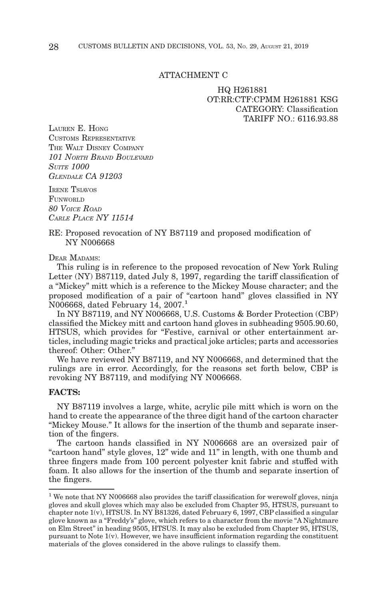#### ATTACHMENT C

#### HQ H261881 OT:RR:CTF:CPMM H261881 KSG CATEGORY: Classification TARIFF NO  $\cdot$  6116.93.88

LAUREN E. HONG CUSTOMS REPRESENTATIVE THE WALT DISNEY COMPANY *101 NORTH BRAND BOULEVARD SUITE 1000 GLENDALE CA 91203*

IRENE TSIAVOS FUNWORLD *80 VOICE ROAD CARLE PLACE NY 11514*

#### RE: Proposed revocation of NY B87119 and proposed modification of NY N006668

DEAR MADAMS'

This ruling is in reference to the proposed revocation of New York Ruling Letter (NY) B87119, dated July 8, 1997, regarding the tariff classification of a "Mickey" mitt which is a reference to the Mickey Mouse character; and the proposed modification of a pair of "cartoon hand" gloves classified in NY N006668, dated February 14, 2007.1

In NY B87119, and NY N006668, U.S. Customs & Border Protection (CBP) classified the Mickey mitt and cartoon hand gloves in subheading 9505.90.60, HTSUS, which provides for "Festive, carnival or other entertainment articles, including magic tricks and practical joke articles; parts and accessories thereof: Other: Other."

We have reviewed NY B87119, and NY N006668, and determined that the rulings are in error. Accordingly, for the reasons set forth below, CBP is revoking NY B87119, and modifying NY N006668.

#### **FACTS:**

NY B87119 involves a large, white, acrylic pile mitt which is worn on the hand to create the appearance of the three digit hand of the cartoon character "Mickey Mouse." It allows for the insertion of the thumb and separate insertion of the fingers.

The cartoon hands classified in NY N006668 are an oversized pair of "cartoon hand" style gloves, 12" wide and 11" in length, with one thumb and three fingers made from 100 percent polyester knit fabric and stuffed with foam. It also allows for the insertion of the thumb and separate insertion of the fingers.

 $1$  We note that NY N006668 also provides the tariff classification for werewolf gloves, ninja gloves and skull gloves which may also be excluded from Chapter 95, HTSUS, pursuant to chapter note 1(v), HTSUS. In NY B81326, dated February 6, 1997, CBP classified a singular glove known as a "Freddy's" glove, which refers to a character from the movie "A Nightmare on Elm Street" in heading 9505, HTSUS. It may also be excluded from Chapter 95, HTSUS, pursuant to Note 1(v). However, we have insufficient information regarding the constituent materials of the gloves considered in the above rulings to classify them.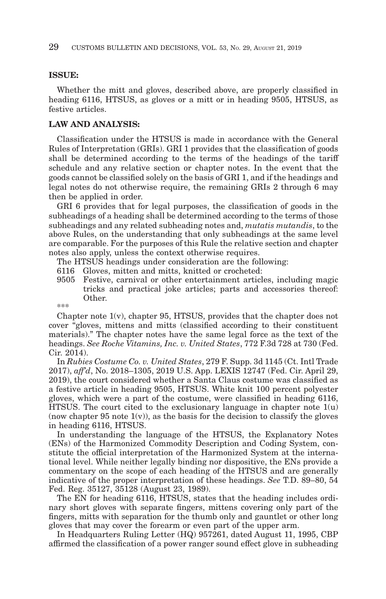#### **ISSUE:**

Whether the mitt and gloves, described above, are properly classified in heading 6116, HTSUS, as gloves or a mitt or in heading 9505, HTSUS, as festive articles.

## **LAW AND ANALYSIS:**

Classification under the HTSUS is made in accordance with the General Rules of Interpretation (GRIs). GRI 1 provides that the classification of goods shall be determined according to the terms of the headings of the tariff schedule and any relative section or chapter notes. In the event that the goods cannot be classified solely on the basis of GRI 1, and if the headings and legal notes do not otherwise require, the remaining GRIs 2 through 6 may then be applied in order.

GRI 6 provides that for legal purposes, the classification of goods in the subheadings of a heading shall be determined according to the terms of those subheadings and any related subheading notes and, *mutatis mutandis*, to the above Rules, on the understanding that only subheadings at the same level are comparable. For the purposes of this Rule the relative section and chapter notes also apply, unless the context otherwise requires.

The HTSUS headings under consideration are the following:

- 6116 Gloves, mitten and mitts, knitted or crocheted:
- 9505 Festive, carnival or other entertainment articles, including magic tricks and practical joke articles; parts and accessories thereof: Other.

\*\*\*

Chapter note 1(v), chapter 95, HTSUS, provides that the chapter does not cover "gloves, mittens and mitts (classified according to their constituent materials)." The chapter notes have the same legal force as the text of the headings. *See Roche Vitamins, Inc. v. United States*, 772 F.3d 728 at 730 (Fed. Cir. 2014).

In *Rubies Costume Co. v. United States*, 279 F. Supp. 3d 1145 (Ct. Intl Trade 2017), *aff'd*, No. 2018–1305, 2019 U.S. App. LEXIS 12747 (Fed. Cir. April 29, 2019), the court considered whether a Santa Claus costume was classified as a festive article in heading 9505, HTSUS. White knit 100 percent polyester gloves, which were a part of the costume, were classified in heading 6116, HTSUS. The court cited to the exclusionary language in chapter note  $1(u)$ (now chapter 95 note  $1(v)$ ), as the basis for the decision to classify the gloves in heading 6116, HTSUS.

In understanding the language of the HTSUS, the Explanatory Notes (ENs) of the Harmonized Commodity Description and Coding System, constitute the official interpretation of the Harmonized System at the international level. While neither legally binding nor dispositive, the ENs provide a commentary on the scope of each heading of the HTSUS and are generally indicative of the proper interpretation of these headings. *See* T.D. 89–80, 54 Fed. Reg. 35127, 35128 (August 23, 1989).

The EN for heading 6116, HTSUS, states that the heading includes ordinary short gloves with separate fingers, mittens covering only part of the fingers, mitts with separation for the thumb only and gauntlet or other long gloves that may cover the forearm or even part of the upper arm.

In Headquarters Ruling Letter (HQ) 957261, dated August 11, 1995, CBP affirmed the classification of a power ranger sound effect glove in subheading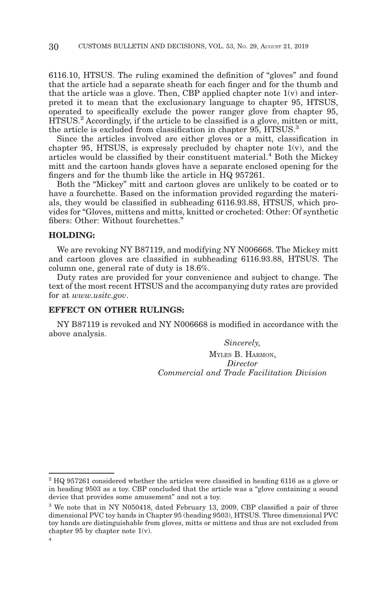6116.10, HTSUS. The ruling examined the definition of "gloves" and found that the article had a separate sheath for each finger and for the thumb and that the article was a glove. Then, CBP applied chapter note  $1(v)$  and interpreted it to mean that the exclusionary language to chapter 95, HTSUS, operated to specifically exclude the power ranger glove from chapter 95, HTSUS.2 Accordingly, if the article to be classified is a glove, mitten or mitt, the article is excluded from classification in chapter 95, HTSUS.<sup>3</sup>

Since the articles involved are either gloves or a mitt, classification in chapter 95, HTSUS, is expressly precluded by chapter note 1(v), and the articles would be classified by their constituent material.<sup>4</sup> Both the Mickey mitt and the cartoon hands gloves have a separate enclosed opening for the fingers and for the thumb like the article in HQ 957261.

Both the "Mickey" mitt and cartoon gloves are unlikely to be coated or to have a fourchette. Based on the information provided regarding the materials, they would be classified in subheading 6116.93.88, HTSUS, which provides for "Gloves, mittens and mitts, knitted or crocheted: Other: Of synthetic fibers: Other: Without fourchettes."

#### **HOLDING:**

We are revoking NY B87119, and modifying NY N006668. The Mickey mitt and cartoon gloves are classified in subheading 6116.93.88, HTSUS. The column one, general rate of duty is 18.6%.

Duty rates are provided for your convenience and subject to change. The text of the most recent HTSUS and the accompanying duty rates are provided for at *www.usitc.gov*.

#### **EFFECT ON OTHER RULINGS:**

NY B87119 is revoked and NY N006668 is modified in accordance with the above analysis.

*Sincerely,*

MYLES B. HARMON, *Director Commercial and Trade Facilitation Division*

 $2$  HQ 957261 considered whether the articles were classified in heading 6116 as a glove or in heading 9503 as a toy. CBP concluded that the article was a "glove containing a sound device that provides some amusement" and not a toy.

<sup>3</sup> We note that in NY N050418, dated February 13, 2009, CBP classified a pair of three dimensional PVC toy hands in Chapter 95 (heading 9503), HTSUS. Three dimensional PVC toy hands are distinguishable from gloves, mitts or mittens and thus are not excluded from chapter 95 by chapter note 1(v).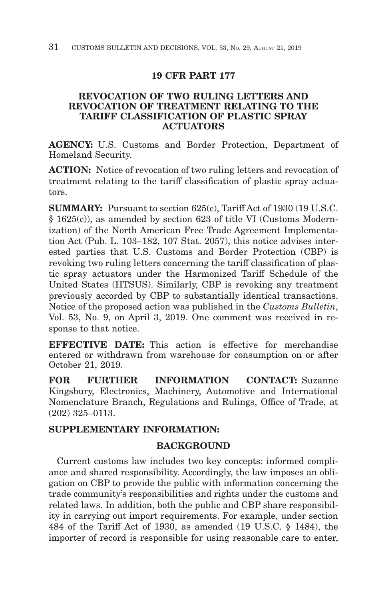# **19 CFR PART 177**

## **REVOCATION OF TWO RULING LETTERS AND REVOCATION OF TREATMENT RELATING TO THE TARIFF CLASSIFICATION OF PLASTIC SPRAY ACTUATORS**

**AGENCY:** U.S. Customs and Border Protection, Department of Homeland Security.

**ACTION:** Notice of revocation of two ruling letters and revocation of treatment relating to the tariff classification of plastic spray actuators.

**SUMMARY:** Pursuant to section 625(c), Tariff Act of 1930 (19 U.S.C. § 1625(c)), as amended by section 623 of title VI (Customs Modernization) of the North American Free Trade Agreement Implementation Act (Pub. L. 103–182, 107 Stat. 2057), this notice advises interested parties that U.S. Customs and Border Protection (CBP) is revoking two ruling letters concerning the tariff classification of plastic spray actuators under the Harmonized Tariff Schedule of the United States (HTSUS). Similarly, CBP is revoking any treatment previously accorded by CBP to substantially identical transactions. Notice of the proposed action was published in the *Customs Bulletin*, Vol. 53, No. 9, on April 3, 2019. One comment was received in response to that notice.

**EFFECTIVE DATE:** This action is effective for merchandise entered or withdrawn from warehouse for consumption on or after October 21, 2019.

**FOR FURTHER INFORMATION CONTACT:** Suzanne Kingsbury, Electronics, Machinery, Automotive and International Nomenclature Branch, Regulations and Rulings, Office of Trade, at (202) 325–0113.

# **SUPPLEMENTARY INFORMATION:**

## **BACKGROUND**

Current customs law includes two key concepts: informed compliance and shared responsibility. Accordingly, the law imposes an obligation on CBP to provide the public with information concerning the trade community's responsibilities and rights under the customs and related laws. In addition, both the public and CBP share responsibility in carrying out import requirements. For example, under section 484 of the Tariff Act of 1930, as amended (19 U.S.C. § 1484), the importer of record is responsible for using reasonable care to enter,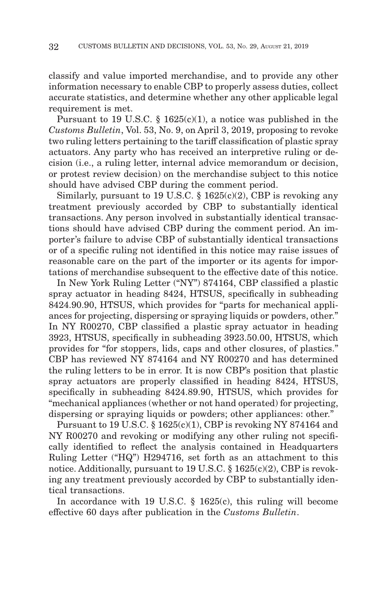classify and value imported merchandise, and to provide any other information necessary to enable CBP to properly assess duties, collect accurate statistics, and determine whether any other applicable legal requirement is met.

Pursuant to 19 U.S.C.  $\S$  1625(c)(1), a notice was published in the *Customs Bulletin*, Vol. 53, No. 9, on April 3, 2019, proposing to revoke two ruling letters pertaining to the tariff classification of plastic spray actuators. Any party who has received an interpretive ruling or decision (i.e., a ruling letter, internal advice memorandum or decision, or protest review decision) on the merchandise subject to this notice should have advised CBP during the comment period.

Similarly, pursuant to 19 U.S.C.  $\S$  1625(c)(2), CBP is revoking any treatment previously accorded by CBP to substantially identical transactions. Any person involved in substantially identical transactions should have advised CBP during the comment period. An importer's failure to advise CBP of substantially identical transactions or of a specific ruling not identified in this notice may raise issues of reasonable care on the part of the importer or its agents for importations of merchandise subsequent to the effective date of this notice.

In New York Ruling Letter ("NY") 874164, CBP classified a plastic spray actuator in heading 8424, HTSUS, specifically in subheading 8424.90.90, HTSUS, which provides for "parts for mechanical appliances for projecting, dispersing or spraying liquids or powders, other." In NY R00270, CBP classified a plastic spray actuator in heading 3923, HTSUS, specifically in subheading 3923.50.00, HTSUS, which provides for "for stoppers, lids, caps and other closures, of plastics." CBP has reviewed NY 874164 and NY R00270 and has determined the ruling letters to be in error. It is now CBP's position that plastic spray actuators are properly classified in heading 8424, HTSUS, specifically in subheading 8424.89.90, HTSUS, which provides for "mechanical appliances (whether or not hand operated) for projecting, dispersing or spraying liquids or powders; other appliances: other."

Pursuant to 19 U.S.C. § 1625(c)(1), CBP is revoking NY 874164 and NY R00270 and revoking or modifying any other ruling not specifically identified to reflect the analysis contained in Headquarters Ruling Letter ("HQ") H294716, set forth as an attachment to this notice. Additionally, pursuant to 19 U.S.C. § 1625(c)(2), CBP is revoking any treatment previously accorded by CBP to substantially identical transactions.

In accordance with 19 U.S.C. § 1625(c), this ruling will become effective 60 days after publication in the *Customs Bulletin*.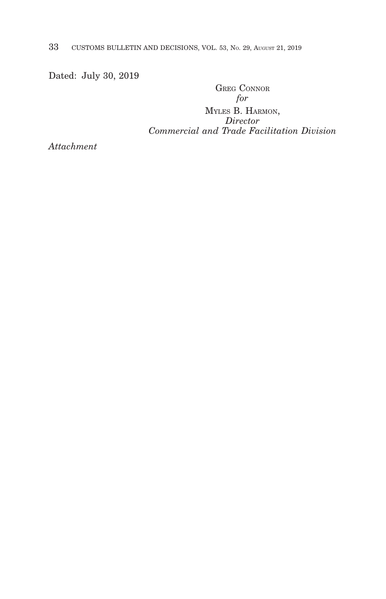33 CUSTOMS BULLETIN AND DECISIONS, VOL. 53, NO. 29, AUGUST 21, 2019

Dated: July 30, 2019

GREG CONNOR *for*

MYLES B. HARMON, *Director Commercial and Trade Facilitation Division*

*Attachment*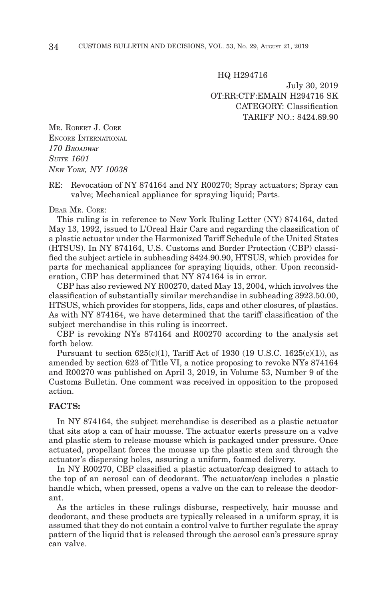HQ H294716

July 30, 2019 OT:RR:CTF:EMAIN H294716 SK CATEGORY: Classification TARIFF NO.: 8424.89.90

MR. ROBERT J. CORE ENCORE INTERNATIONAL *170 BROADWAY SUITE 1601 NEW YORK, NY 10038*

RE: Revocation of NY 874164 and NY R00270; Spray actuators; Spray can valve; Mechanical appliance for spraying liquid; Parts.

#### DEAR MR. CORE:

This ruling is in reference to New York Ruling Letter (NY) 874164, dated May 13, 1992, issued to L'Oreal Hair Care and regarding the classification of a plastic actuator under the Harmonized Tariff Schedule of the United States (HTSUS). In NY 874164, U.S. Customs and Border Protection (CBP) classified the subject article in subheading 8424.90.90, HTSUS, which provides for parts for mechanical appliances for spraying liquids, other. Upon reconsideration, CBP has determined that NY 874164 is in error.

CBP has also reviewed NY R00270, dated May 13, 2004, which involves the classification of substantially similar merchandise in subheading 3923.50.00, HTSUS, which provides for stoppers, lids, caps and other closures, of plastics. As with NY 874164, we have determined that the tariff classification of the subject merchandise in this ruling is incorrect.

CBP is revoking NYs 874164 and R00270 according to the analysis set forth below.

Pursuant to section  $625(c)(1)$ , Tariff Act of 1930 (19 U.S.C. 1625(c)(1)), as amended by section 623 of Title VI, a notice proposing to revoke NYs 874164 and R00270 was published on April 3, 2019, in Volume 53, Number 9 of the Customs Bulletin. One comment was received in opposition to the proposed action.

#### **FACTS:**

In NY 874164, the subject merchandise is described as a plastic actuator that sits atop a can of hair mousse. The actuator exerts pressure on a valve and plastic stem to release mousse which is packaged under pressure. Once actuated, propellant forces the mousse up the plastic stem and through the actuator's dispersing holes, assuring a uniform, foamed delivery.

In NY R00270, CBP classified a plastic actuator/cap designed to attach to the top of an aerosol can of deodorant. The actuator/cap includes a plastic handle which, when pressed, opens a valve on the can to release the deodorant.

As the articles in these rulings disburse, respectively, hair mousse and deodorant, and these products are typically released in a uniform spray, it is assumed that they do not contain a control valve to further regulate the spray pattern of the liquid that is released through the aerosol can's pressure spray can valve.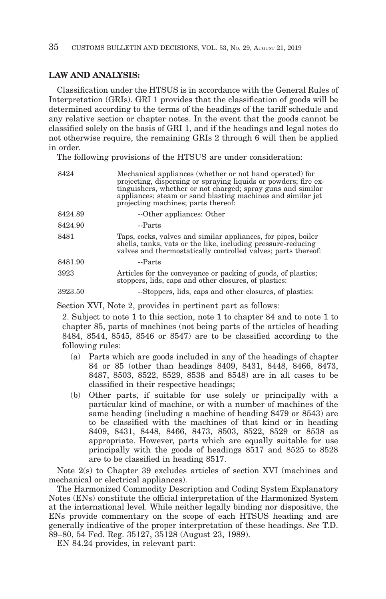#### **LAW AND ANALYSIS:**

Classification under the HTSUS is in accordance with the General Rules of Interpretation (GRIs). GRI 1 provides that the classification of goods will be determined according to the terms of the headings of the tariff schedule and any relative section or chapter notes. In the event that the goods cannot be classified solely on the basis of GRI 1, and if the headings and legal notes do not otherwise require, the remaining GRIs 2 through 6 will then be applied in order.

The following provisions of the HTSUS are under consideration:

| 8424    | Mechanical appliances (whether or not hand operated) for<br>projecting, dispersing or spraying liquids or powders; fire ex-<br>tinguishers, whether or not charged; spray guns and similar<br>appliances; steam or sand blasting machines and similar jet<br>projecting machines; parts thereof: |
|---------|--------------------------------------------------------------------------------------------------------------------------------------------------------------------------------------------------------------------------------------------------------------------------------------------------|
| 8424.89 | --Other appliances: Other                                                                                                                                                                                                                                                                        |
| 8424.90 | --Parts                                                                                                                                                                                                                                                                                          |
| 8481    | Taps, cocks, valves and similar appliances, for pipes, boiler<br>shells, tanks, vats or the like, including pressure-reducing<br>valves and thermostatically controlled valves; parts thereof:                                                                                                   |
| 8481.90 | --Parts                                                                                                                                                                                                                                                                                          |
| 3923    | Articles for the conveyance or packing of goods, of plastics;<br>stoppers, lids, caps and other closures, of plastics:                                                                                                                                                                           |
| 3923.50 | --Stoppers, lids, caps and other closures, of plastics:                                                                                                                                                                                                                                          |

Section XVI, Note 2, provides in pertinent part as follows:

2. Subject to note 1 to this section, note 1 to chapter 84 and to note 1 to chapter 85, parts of machines (not being parts of the articles of heading 8484, 8544, 8545, 8546 or 8547) are to be classified according to the following rules:

- (a) Parts which are goods included in any of the headings of chapter 84 or 85 (other than headings 8409, 8431, 8448, 8466, 8473, 8487, 8503, 8522, 8529, 8538 and 8548) are in all cases to be classified in their respective headings;
- (b) Other parts, if suitable for use solely or principally with a particular kind of machine, or with a number of machines of the same heading (including a machine of heading 8479 or 8543) are to be classified with the machines of that kind or in heading 8409, 8431, 8448, 8466, 8473, 8503, 8522, 8529 or 8538 as appropriate. However, parts which are equally suitable for use principally with the goods of headings 8517 and 8525 to 8528 are to be classified in heading 8517.

Note 2(s) to Chapter 39 excludes articles of section XVI (machines and mechanical or electrical appliances).

The Harmonized Commodity Description and Coding System Explanatory Notes (ENs) constitute the official interpretation of the Harmonized System at the international level. While neither legally binding nor dispositive, the ENs provide commentary on the scope of each HTSUS heading and are generally indicative of the proper interpretation of these headings. *See* T.D. 89–80, 54 Fed. Reg. 35127, 35128 (August 23, 1989).

EN 84.24 provides, in relevant part: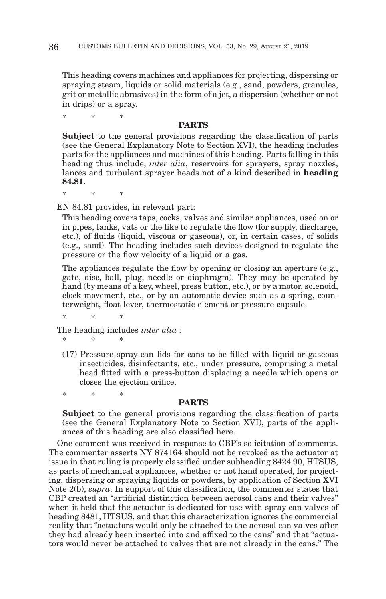This heading covers machines and appliances for projecting, dispersing or spraying steam, liquids or solid materials (e.g., sand, powders, granules, grit or metallic abrasives) in the form of a jet, a dispersion (whether or not in drips) or a spray.

\*\* \*

#### **PARTS**

**Subject** to the general provisions regarding the classification of parts (see the General Explanatory Note to Section XVI), the heading includes parts for the appliances and machines of this heading. Parts falling in this heading thus include, *inter alia*, reservoirs for sprayers, spray nozzles, lances and turbulent sprayer heads not of a kind described in **heading 84.81**.

\*\* \*

EN 84.81 provides, in relevant part:

This heading covers taps, cocks, valves and similar appliances, used on or in pipes, tanks, vats or the like to regulate the flow (for supply, discharge, etc.), of fluids (liquid, viscous or gaseous), or, in certain cases, of solids (e.g., sand). The heading includes such devices designed to regulate the pressure or the flow velocity of a liquid or a gas.

The appliances regulate the flow by opening or closing an aperture (e.g., gate, disc, ball, plug, needle or diaphragm). They may be operated by hand (by means of a key, wheel, press button, etc.), or by a motor, solenoid, clock movement, etc., or by an automatic device such as a spring, counterweight, float lever, thermostatic element or pressure capsule.

\*\* \*

\*\* \*

\*\* \*

The heading includes *inter alia :*

(17) Pressure spray-can lids for cans to be filled with liquid or gaseous insecticides, disinfectants, etc., under pressure, comprising a metal head fitted with a press-button displacing a needle which opens or closes the ejection orifice.

#### **PARTS**

**Subject** to the general provisions regarding the classification of parts (see the General Explanatory Note to Section XVI), parts of the appliances of this heading are also classified here.

One comment was received in response to CBP's solicitation of comments. The commenter asserts NY 874164 should not be revoked as the actuator at issue in that ruling is properly classified under subheading 8424.90, HTSUS, as parts of mechanical appliances, whether or not hand operated, for projecting, dispersing or spraying liquids or powders, by application of Section XVI Note 2(b), *supra*. In support of this classification, the commenter states that CBP created an "artificial distinction between aerosol cans and their valves" when it held that the actuator is dedicated for use with spray can valves of heading 8481, HTSUS, and that this characterization ignores the commercial reality that "actuators would only be attached to the aerosol can valves after they had already been inserted into and affixed to the cans" and that "actuators would never be attached to valves that are not already in the cans." The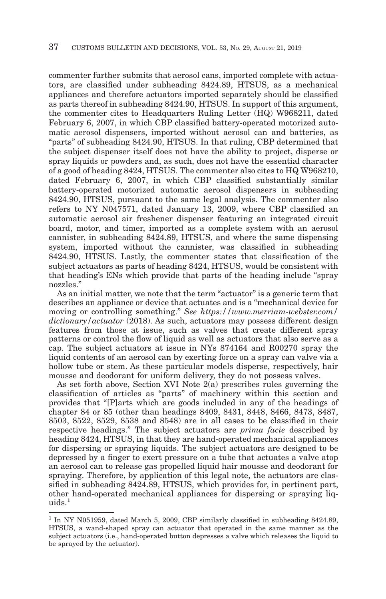commenter further submits that aerosol cans, imported complete with actuators, are classified under subheading 8424.89, HTSUS, as a mechanical appliances and therefore actuators imported separately should be classified as parts thereof in subheading 8424.90, HTSUS. In support of this argument, the commenter cites to Headquarters Ruling Letter (HQ) W968211, dated February 6, 2007, in which CBP classified battery-operated motorized automatic aerosol dispensers, imported without aerosol can and batteries, as "parts" of subheading 8424.90, HTSUS. In that ruling, CBP determined that the subject dispenser itself does not have the ability to project, disperse or spray liquids or powders and, as such, does not have the essential character of a good of heading 8424, HTSUS. The commenter also cites to HQ W968210, dated February 6, 2007, in which CBP classified substantially similar battery-operated motorized automatic aerosol dispensers in subheading 8424.90, HTSUS, pursuant to the same legal analysis. The commenter also refers to NY N047571, dated January 13, 2009, where CBP classified an automatic aerosol air freshener dispenser featuring an integrated circuit board, motor, and timer, imported as a complete system with an aerosol cannister, in subheading 8424.89, HTSUS, and where the same dispensing system, imported without the cannister, was classified in subheading 8424.90, HTSUS. Lastly, the commenter states that classification of the subject actuators as parts of heading 8424, HTSUS, would be consistent with that heading's ENs which provide that parts of the heading include "spray nozzles."

As an initial matter, we note that the term "actuator" is a generic term that describes an appliance or device that actuates and is a "mechanical device for moving or controlling something." *See https://www.merriam-webster.com/ dictionary/actuator* (2018). As such, actuators may possess different design features from those at issue, such as valves that create different spray patterns or control the flow of liquid as well as actuators that also serve as a cap. The subject actuators at issue in NYs 874164 and R00270 spray the liquid contents of an aerosol can by exerting force on a spray can valve via a hollow tube or stem. As these particular models disperse, respectively, hair mousse and deodorant for uniform delivery, they do not possess valves.

As set forth above, Section XVI Note 2(a) prescribes rules governing the classification of articles as "parts" of machinery within this section and provides that "[P]arts which are goods included in any of the headings of chapter 84 or 85 (other than headings 8409, 8431, 8448, 8466, 8473, 8487, 8503, 8522, 8529, 8538 and 8548) are in all cases to be classified in their respective headings." The subject actuators are *prima facie* described by heading 8424, HTSUS, in that they are hand-operated mechanical appliances for dispersing or spraying liquids. The subject actuators are designed to be depressed by a finger to exert pressure on a tube that actuates a valve atop an aerosol can to release gas propelled liquid hair mousse and deodorant for spraying. Therefore, by application of this legal note, the actuators are classified in subheading 8424.89, HTSUS, which provides for, in pertinent part, other hand-operated mechanical appliances for dispersing or spraying liquids.<sup>1</sup>

<sup>&</sup>lt;sup>1</sup> In NY N051959, dated March 5, 2009, CBP similarly classified in subheading 8424.89, HTSUS, a wand-shaped spray can actuator that operated in the same manner as the subject actuators (i.e., hand-operated button depresses a valve which releases the liquid to be sprayed by the actuator).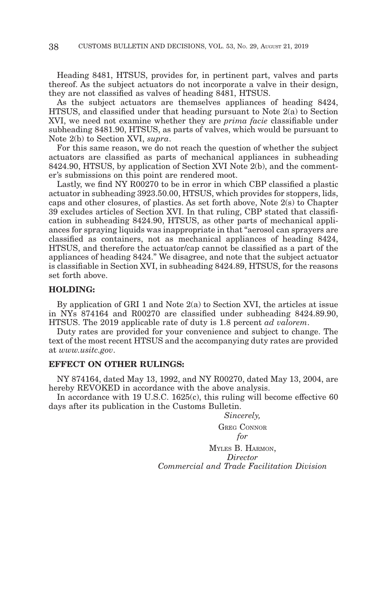Heading 8481, HTSUS, provides for, in pertinent part, valves and parts thereof. As the subject actuators do not incorporate a valve in their design, they are not classified as valves of heading 8481, HTSUS.

As the subject actuators are themselves appliances of heading 8424, HTSUS, and classified under that heading pursuant to Note 2(a) to Section XVI, we need not examine whether they are *prima facie* classifiable under subheading 8481.90, HTSUS, as parts of valves, which would be pursuant to Note 2(b) to Section XVI, *supra*.

For this same reason, we do not reach the question of whether the subject actuators are classified as parts of mechanical appliances in subheading 8424.90, HTSUS, by application of Section XVI Note 2(b), and the commenter's submissions on this point are rendered moot.

Lastly, we find NY R00270 to be in error in which CBP classified a plastic actuator in subheading 3923.50.00, HTSUS, which provides for stoppers, lids, caps and other closures, of plastics. As set forth above, Note 2(s) to Chapter 39 excludes articles of Section XVI. In that ruling, CBP stated that classification in subheading 8424.90, HTSUS, as other parts of mechanical appliances for spraying liquids was inappropriate in that "aerosol can sprayers are classified as containers, not as mechanical appliances of heading 8424, HTSUS, and therefore the actuator/cap cannot be classified as a part of the appliances of heading 8424." We disagree, and note that the subject actuator is classifiable in Section XVI, in subheading 8424.89, HTSUS, for the reasons set forth above.

#### **HOLDING:**

By application of GRI 1 and Note 2(a) to Section XVI, the articles at issue in NYs 874164 and R00270 are classified under subheading 8424.89.90, HTSUS. The 2019 applicable rate of duty is 1.8 percent *ad valorem*.

Duty rates are provided for your convenience and subject to change. The text of the most recent HTSUS and the accompanying duty rates are provided at *www.usitc.gov*.

#### **EFFECT ON OTHER RULINGS:**

NY 874164, dated May 13, 1992, and NY R00270, dated May 13, 2004, are hereby REVOKED in accordance with the above analysis.

In accordance with 19 U.S.C. 1625(c), this ruling will become effective 60 days after its publication in the Customs Bulletin.

*Sincerely,*

GREG CONNOR *for*

MYLES B. HARMON, *Director Commercial and Trade Facilitation Division*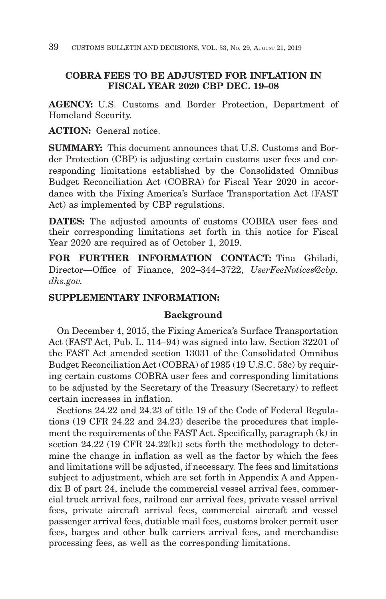# **COBRA FEES TO BE ADJUSTED FOR INFLATION IN FISCAL YEAR 2020 CBP DEC. 19–08**

**AGENCY:** U.S. Customs and Border Protection, Department of Homeland Security.

**ACTION:** General notice.

**SUMMARY:** This document announces that U.S. Customs and Border Protection (CBP) is adjusting certain customs user fees and corresponding limitations established by the Consolidated Omnibus Budget Reconciliation Act (COBRA) for Fiscal Year 2020 in accordance with the Fixing America's Surface Transportation Act (FAST Act) as implemented by CBP regulations.

**DATES:** The adjusted amounts of customs COBRA user fees and their corresponding limitations set forth in this notice for Fiscal Year 2020 are required as of October 1, 2019.

**FOR FURTHER INFORMATION CONTACT:** Tina Ghiladi, Director—Office of Finance, 202–344–3722, *UserFeeNotices@cbp. dhs.gov.*

# **SUPPLEMENTARY INFORMATION:**

# **Background**

On December 4, 2015, the Fixing America's Surface Transportation Act (FAST Act, Pub. L. 114–94) was signed into law. Section 32201 of the FAST Act amended section 13031 of the Consolidated Omnibus Budget Reconciliation Act (COBRA) of 1985 (19 U.S.C. 58c) by requiring certain customs COBRA user fees and corresponding limitations to be adjusted by the Secretary of the Treasury (Secretary) to reflect certain increases in inflation.

Sections 24.22 and 24.23 of title 19 of the Code of Federal Regulations (19 CFR 24.22 and 24.23) describe the procedures that implement the requirements of the FAST Act. Specifically, paragraph (k) in section 24.22 (19 CFR 24.22(k)) sets forth the methodology to determine the change in inflation as well as the factor by which the fees and limitations will be adjusted, if necessary. The fees and limitations subject to adjustment, which are set forth in Appendix A and Appendix B of part 24, include the commercial vessel arrival fees, commercial truck arrival fees, railroad car arrival fees, private vessel arrival fees, private aircraft arrival fees, commercial aircraft and vessel passenger arrival fees, dutiable mail fees, customs broker permit user fees, barges and other bulk carriers arrival fees, and merchandise processing fees, as well as the corresponding limitations.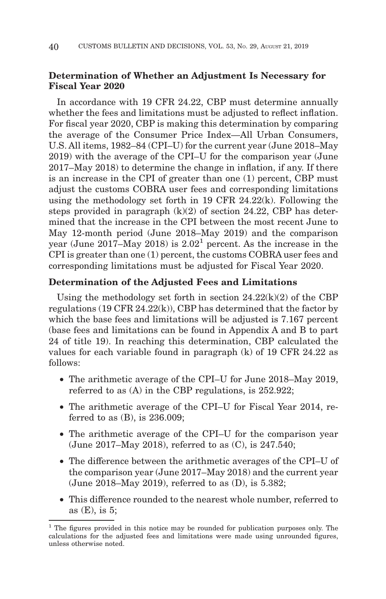## **Determination of Whether an Adjustment Is Necessary for Fiscal Year 2020**

In accordance with 19 CFR 24.22, CBP must determine annually whether the fees and limitations must be adjusted to reflect inflation. For fiscal year 2020, CBP is making this determination by comparing the average of the Consumer Price Index—All Urban Consumers, U.S. All items, 1982–84 (CPI–U) for the current year (June 2018–May 2019) with the average of the CPI–U for the comparison year (June 2017–May 2018) to determine the change in inflation, if any. If there is an increase in the CPI of greater than one (1) percent, CBP must adjust the customs COBRA user fees and corresponding limitations using the methodology set forth in 19 CFR 24.22(k). Following the steps provided in paragraph (k)(2) of section 24.22, CBP has determined that the increase in the CPI between the most recent June to May 12-month period (June 2018–May 2019) and the comparison year (June 2017–May 2018) is 2.021 percent. As the increase in the CPI is greater than one (1) percent, the customs COBRA user fees and corresponding limitations must be adjusted for Fiscal Year 2020.

## **Determination of the Adjusted Fees and Limitations**

Using the methodology set forth in section  $24.22(k)(2)$  of the CBP regulations (19 CFR 24.22(k)), CBP has determined that the factor by which the base fees and limitations will be adjusted is 7.167 percent (base fees and limitations can be found in Appendix A and B to part 24 of title 19). In reaching this determination, CBP calculated the values for each variable found in paragraph (k) of 19 CFR 24.22 as follows:

- The arithmetic average of the CPI–U for June 2018–May 2019, referred to as (A) in the CBP regulations, is 252.922;
- The arithmetic average of the CPI–U for Fiscal Year 2014, referred to as (B), is 236.009;
- The arithmetic average of the CPI–U for the comparison year (June 2017–May 2018), referred to as (C), is 247.540;
- The difference between the arithmetic averages of the CPI–U of the comparison year (June 2017–May 2018) and the current year (June 2018–May 2019), referred to as (D), is 5.382;
- This difference rounded to the nearest whole number, referred to as (E), is 5;

<sup>&</sup>lt;sup>1</sup> The figures provided in this notice may be rounded for publication purposes only. The calculations for the adjusted fees and limitations were made using unrounded figures, unless otherwise noted.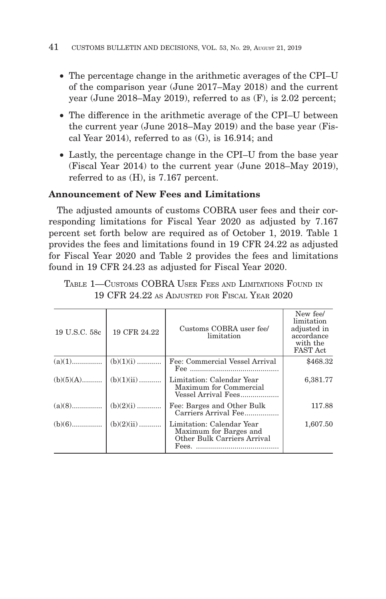- The percentage change in the arithmetic averages of the CPI–U of the comparison year (June 2017–May 2018) and the current year (June 2018–May 2019), referred to as (F), is 2.02 percent;
- The difference in the arithmetic average of the CPI–U between the current year (June 2018–May 2019) and the base year (Fiscal Year 2014), referred to as (G), is 16.914; and
- Lastly, the percentage change in the CPI–U from the base year (Fiscal Year 2014) to the current year (June 2018–May 2019), referred to as (H), is 7.167 percent.

# **Announcement of New Fees and Limitations**

The adjusted amounts of customs COBRA user fees and their corresponding limitations for Fiscal Year 2020 as adjusted by 7.167 percent set forth below are required as of October 1, 2019. Table 1 provides the fees and limitations found in 19 CFR 24.22 as adjusted for Fiscal Year 2020 and Table 2 provides the fees and limitations found in 19 CFR 24.23 as adjusted for Fiscal Year 2020.

| 19 U.S.C. 58c | 19 CFR 24.22 | Customs COBRA user fee/<br>limitation                                              | New fee/<br>limitation<br>adjusted in<br>accordance<br>with the<br><b>FAST Act</b> |
|---------------|--------------|------------------------------------------------------------------------------------|------------------------------------------------------------------------------------|
| $(a)(1)$      | $(b)(1)(i)$  | Fee: Commercial Vessel Arrival                                                     | \$468.32                                                                           |
| $(b)(5)(A)$   | $(b)(1)(ii)$ | Limitation: Calendar Year<br>Maximum for Commercial<br>Vessel Arrival Fees         | 6,381.77                                                                           |
| $(a)(8)$      | $(b)(2)(i)$  | Fee: Barges and Other Bulk<br>Carriers Arrival Fee                                 | 117.88                                                                             |
|               | $(b)(2)(ii)$ | Limitation: Calendar Year<br>Maximum for Barges and<br>Other Bulk Carriers Arrival | 1,607.50                                                                           |

TABLE 1—CUSTOMS COBRA USER FEES AND LIMITATIONS FOUND IN 19 CFR 24.22 AS ADJUSTED FOR FISCAL YEAR 2020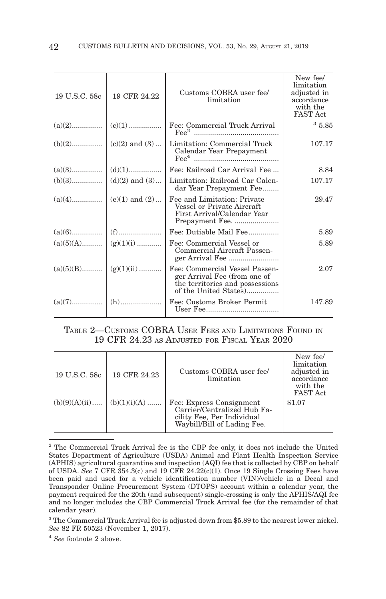| 19 U.S.C. 58c | 19 CFR 24.22       | Customs COBRA user fee/<br>limitation                                                                                      | New fee/<br>limitation<br>adjusted in<br>accordance<br>with the<br><b>FAST Act</b> |
|---------------|--------------------|----------------------------------------------------------------------------------------------------------------------------|------------------------------------------------------------------------------------|
| $(a)(2)$      | $\mid$ (c)(1)      | Fee: Commercial Truck Arrival<br>$\text{Fee}^2$                                                                            | $^{\rm 3}$ 5.85                                                                    |
|               | $(c)(2)$ and $(3)$ | Limitation: Commercial Truck<br>Calendar Year Prepayment                                                                   | 107.17                                                                             |
| $(a)(3)$      | $\mid$ (d)(1)      | Fee: Railroad Car Arrival Fee                                                                                              | 8.84                                                                               |
| $(b)(3)$      | $(d)(2)$ and $(3)$ | Limitation: Railroad Car Calen-<br>dar Year Prepayment Fee                                                                 | 107.17                                                                             |
| $(a)(4)$      | $(e)(1)$ and $(2)$ | Fee and Limitation: Private<br>Vessel or Private Aircraft<br>First Arrival/Calendar Year                                   | 29.47                                                                              |
|               | $(f)$              | Fee: Dutiable Mail Fee                                                                                                     | 5.89                                                                               |
| $(a)(5)(A)$   | $(g)(1)(i)$        | Fee: Commercial Vessel or<br>Commercial Aircraft Passen-                                                                   | 5.89                                                                               |
| $(a)(5)(B)$   | $(g)(1)(ii)$       | Fee: Commercial Vessel Passen-<br>ger Arrival Fee (from one of<br>the territories and possessions<br>of the United States) | 2.07                                                                               |
|               |                    | Fee: Customs Broker Permit                                                                                                 | 147.89                                                                             |

## TABLE 2—CUSTOMS COBRA USER FEES AND LIMITATIONS FOUND IN 19 CFR 24.23 AS ADJUSTED FOR FISCAL YEAR 2020

| 19 U.S.C. 58c   | 19 CFR 24.23   | Customs COBRA user fee/<br>limitation                                                                                | New fee/<br>limitation<br>adjusted in<br>accordance<br>with the<br><b>FAST Act</b> |
|-----------------|----------------|----------------------------------------------------------------------------------------------------------------------|------------------------------------------------------------------------------------|
| $(b)(9)(A)(ii)$ | $(b)(1)(i)(A)$ | Fee: Express Consignment<br>Carrier/Centralized Hub Fa-<br>cility Fee, Per Individual<br>Waybill/Bill of Lading Fee. | \$1.07                                                                             |

<sup>2</sup> The Commercial Truck Arrival fee is the CBP fee only, it does not include the United States Department of Agriculture (USDA) Animal and Plant Health Inspection Service (APHIS) agricultural quarantine and inspection (AQI) fee that is collected by CBP on behalf of USDA. *See* 7 CFR 354.3(c) and 19 CFR 24.22(c)(1). Once 19 Single Crossing Fees have been paid and used for a vehicle identification number (VIN)/vehicle in a Decal and Transponder Online Procurement System (DTOPS) account within a calendar year, the payment required for the 20th (and subsequent) single-crossing is only the APHIS/AQI fee and no longer includes the CBP Commercial Truck Arrival fee (for the remainder of that calendar year).

<sup>3</sup> The Commercial Truck Arrival fee is adjusted down from \$5.89 to the nearest lower nickel. *See* 82 FR 50523 (November 1, 2017).

<sup>4</sup>*See* footnote 2 above.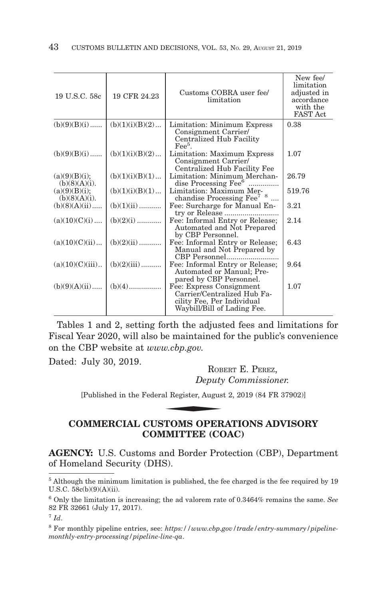| 19 U.S.C. 58c                     | 19 CFR 24.23    | Customs COBRA user fee/<br>limitation                                                                                | New fee/<br>limitation<br>adjusted in<br>accordance<br>with the<br><b>FAST Act</b> |
|-----------------------------------|-----------------|----------------------------------------------------------------------------------------------------------------------|------------------------------------------------------------------------------------|
| $(b)(9)(B)(i)$                    | (b)(1)(i)(B)(2) | Limitation: Minimum Express<br>Consignment Carrier/<br>Centralized Hub Facility<br>$\text{Fe}e^5$ .                  | 0.38                                                                               |
| $(b)(9)(B)(i)$                    | (b)(1)(i)(B)(2) | Limitation: Maximum Express<br>Consignment Carrier/<br>Centralized Hub Facility Fee                                  | 1.07                                                                               |
| (a)(9)(B)(i);<br>$(b)(8)(A)(i)$ . | (b)(1)(i)(B)(1) | Limitation: Minimum Merchan-<br>dise Processing Fee <sup>6</sup>                                                     | 26.79                                                                              |
| (a)(9)(B)(i);<br>$(b)(8)(A)(i)$ . | (b)(1)(i)(B)(1) | Limitation: Maximum Mer-<br>chandise Processing Fee <sup>7</sup> <sup>8</sup>                                        | 519.76                                                                             |
| $(b)(8)(A)(ii)$                   | $(b)(1)(ii)$    | Fee: Surcharge for Manual En-<br>try or Release                                                                      | 3.21                                                                               |
| $(a)(10)(C)(i)$                   | $(b)(2)(i)$     | Fee: Informal Entry or Release;<br>Automated and Not Prepared<br>by CBP Personnel.                                   | 2.14                                                                               |
| (a)(10)(C)(ii)                    | $(b)(2)(ii)$    | Fee: Informal Entry or Release;<br>Manual and Not Prepared by<br>CBP Personnel                                       | 6.43                                                                               |
| $(a)(10)(C)(iii)$                 | $(b)(2)(iii)$   | Fee: Informal Entry or Release;<br>Automated or Manual; Pre-<br>pared by CBP Personnel.                              | 9.64                                                                               |
| $(b)(9)(A)(ii)$                   |                 | Fee: Express Consignment<br>Carrier/Centralized Hub Fa-<br>cility Fee, Per Individual<br>Waybill/Bill of Lading Fee. | 1.07                                                                               |

Tables 1 and 2, setting forth the adjusted fees and limitations for Fiscal Year 2020, will also be maintained for the public's convenience on the CBP website at *www.cbp.gov.*

Dated: July 30, 2019. ROBERT E. PEREZ.

*Deputy Commissioner.*

[Published in the Federal Register, August 2, 2019 (84 FR 37902)] w.cbp.gov.<br>Rob<br>Deputy<br>al Register, Augus<br>TROMS ODED

# **COMMERCIAL CUSTOMS OPERATIONS ADVISORY COMMITTEE (COAC)**

**AGENCY:** U.S. Customs and Border Protection (CBP), Department of Homeland Security (DHS).

5 Although the minimum limitation is published, the fee charged is the fee required by 19 U.S.C. 58c(b)(9)(A)(ii).

6 Only the limitation is increasing; the ad valorem rate of 0.3464% remains the same. *See* 82 FR 32661 (July 17, 2017).

<sup>7</sup>*Id*.

<sup>8</sup> For monthly pipeline entries, see: *https://www.cbp.gov/trade/entry-summary/pipelinemonthly-entry-processing/pipeline-line-qa*.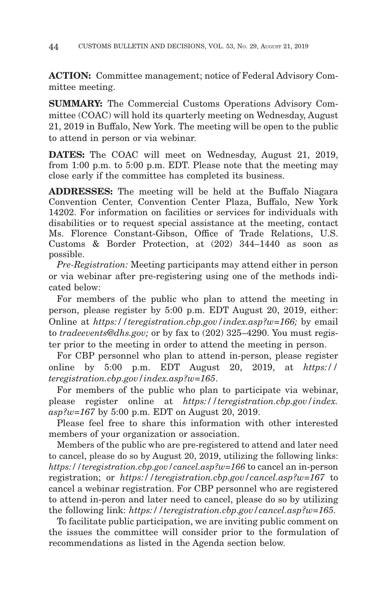**ACTION:** Committee management; notice of Federal Advisory Committee meeting.

**SUMMARY:** The Commercial Customs Operations Advisory Committee (COAC) will hold its quarterly meeting on Wednesday, August 21, 2019 in Buffalo, New York. The meeting will be open to the public to attend in person or via webinar.

**DATES:** The COAC will meet on Wednesday, August 21, 2019, from 1:00 p.m. to 5:00 p.m. EDT. Please note that the meeting may close early if the committee has completed its business.

**ADDRESSES:** The meeting will be held at the Buffalo Niagara Convention Center, Convention Center Plaza, Buffalo, New York 14202. For information on facilities or services for individuals with disabilities or to request special assistance at the meeting, contact Ms. Florence Constant-Gibson, Office of Trade Relations, U.S. Customs & Border Protection, at (202) 344–1440 as soon as possible.

*Pre-Registration:* Meeting participants may attend either in person or via webinar after pre-registering using one of the methods indicated below:

For members of the public who plan to attend the meeting in person, please register by 5:00 p.m. EDT August 20, 2019, either: Online at *https://teregistration.cbp.gov/index.asp?w=166;* by email to *tradeevents@dhs.gov;* or by fax to (202) 325–4290. You must register prior to the meeting in order to attend the meeting in person.

For CBP personnel who plan to attend in-person, please register online by 5:00 p.m. EDT August 20, 2019, at *https:// teregistration.cbp.gov/index.asp?w=165*.

For members of the public who plan to participate via webinar, please register online at *https://teregistration.cbp.gov/index. asp?w=167* by 5:00 p.m. EDT on August 20, 2019.

Please feel free to share this information with other interested members of your organization or association.

Members of the public who are pre-registered to attend and later need to cancel, please do so by August 20, 2019, utilizing the following links: *https://teregistration.cbp.gov/cancel.asp?w=166* to cancel an in-person registration; or *https://teregistration.cbp.gov/cancel.asp?w=167* to cancel a webinar registration. For CBP personnel who are registered to attend in-peron and later need to cancel, please do so by utilizing the following link: *https://teregistration.cbp.gov/cancel.asp?w=165.*

To facilitate public participation, we are inviting public comment on the issues the committee will consider prior to the formulation of recommendations as listed in the Agenda section below.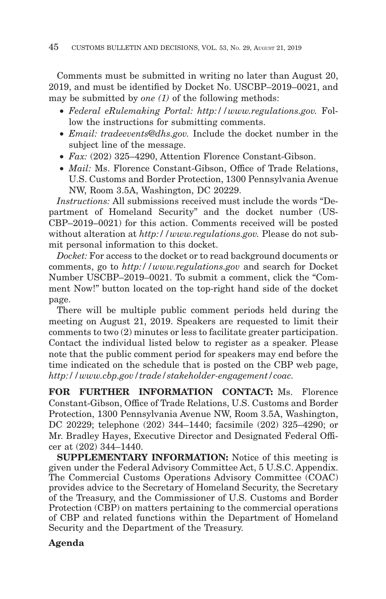Comments must be submitted in writing no later than August 20, 2019, and must be identified by Docket No. USCBP–2019–0021, and may be submitted by *one (1)* of the following methods:

- *Federal eRulemaking Portal: http://www.regulations.gov.* Follow the instructions for submitting comments.
- *Email: tradeevents@dhs.gov.* Include the docket number in the subject line of the message.
- *Fax:* (202) 325–4290, Attention Florence Constant-Gibson.
- *Mail:* Ms. Florence Constant-Gibson, Office of Trade Relations, U.S. Customs and Border Protection, 1300 Pennsylvania Avenue NW, Room 3.5A, Washington, DC 20229.

*Instructions:* All submissions received must include the words ''Department of Homeland Security'' and the docket number (US-CBP–2019–0021) for this action. Comments received will be posted without alteration at *http://www.regulations.gov.* Please do not submit personal information to this docket.

*Docket:* For access to the docket or to read background documents or comments, go to *http://www.regulations.gov* and search for Docket Number USCBP–2019–0021. To submit a comment, click the "Comment Now!'' button located on the top-right hand side of the docket page.

There will be multiple public comment periods held during the meeting on August 21, 2019. Speakers are requested to limit their comments to two (2) minutes or less to facilitate greater participation. Contact the individual listed below to register as a speaker. Please note that the public comment period for speakers may end before the time indicated on the schedule that is posted on the CBP web page, *http://www.cbp.gov/trade/stakeholder-engagement/coac.*

**FOR FURTHER INFORMATION CONTACT:** Ms. Florence Constant-Gibson, Office of Trade Relations, U.S. Customs and Border Protection, 1300 Pennsylvania Avenue NW, Room 3.5A, Washington, DC 20229; telephone (202) 344–1440; facsimile (202) 325–4290; or Mr. Bradley Hayes, Executive Director and Designated Federal Officer at (202) 344–1440.

**SUPPLEMENTARY INFORMATION:** Notice of this meeting is given under the Federal Advisory Committee Act, 5 U.S.C. Appendix. The Commercial Customs Operations Advisory Committee (COAC) provides advice to the Secretary of Homeland Security, the Secretary of the Treasury, and the Commissioner of U.S. Customs and Border Protection (CBP) on matters pertaining to the commercial operations of CBP and related functions within the Department of Homeland Security and the Department of the Treasury.

# **Agenda**